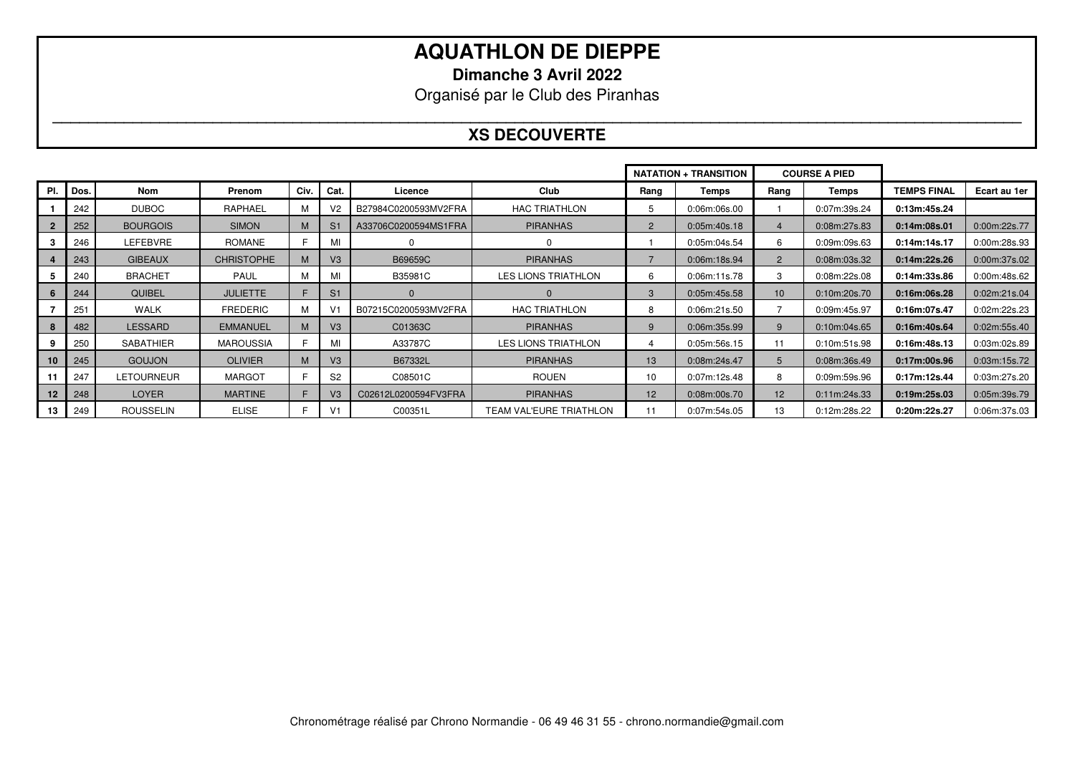**Dimanche 3 Avril 2022** 

Organisé par le Club des Piranhas

#### **\_\_\_\_\_\_\_\_\_\_\_\_\_\_\_\_\_\_\_\_\_\_\_\_\_\_\_\_\_\_\_\_\_\_\_\_\_\_\_\_\_\_\_\_\_\_\_\_\_\_\_\_\_\_\_\_\_\_\_\_\_\_\_\_\_\_\_\_\_\_\_\_\_\_\_\_\_\_\_\_\_\_\_\_\_\_\_\_\_\_\_\_\_\_\_\_\_\_\_\_\_\_\_\_\_\_\_\_\_ XS DECOUVERTE**

|     |      |                   |                   |      |                |                      |                                | <b>COURSE A PIED</b> |                 |                |              |                    |              |
|-----|------|-------------------|-------------------|------|----------------|----------------------|--------------------------------|----------------------|-----------------|----------------|--------------|--------------------|--------------|
| PI. | Dos. | <b>Nom</b>        | Prenom            | Civ. | Cat.           | Licence              | Club                           | Rang                 | Temps           | Rang           | <b>Temps</b> | <b>TEMPS FINAL</b> | Ecart au 1er |
|     | 242  | <b>DUBOC</b>      | RAPHAEL           |      | V <sub>2</sub> | B27984C0200593MV2FRA | <b>HAC TRIATHLON</b>           | 5                    | $0.06$ m:06s.00 |                | 0:07m:39s.24 | 0:13m:45s.24       |              |
|     | 252  | <b>BOURGOIS</b>   | <b>SIMON</b>      | M    | S <sub>1</sub> | A33706C0200594MS1FRA | <b>PIRANHAS</b>                | $\overline{2}$       | 0:05m:40s.18    | 4              | 0:08m:27s.83 | 0:14m:08s.01       | 0:00m:22s.77 |
|     | 246  | LEFEBVRE          | <b>ROMANE</b>     |      | MI             |                      | 0                              |                      | 0:05m:04s.54    | 6              | 0:09m:09s.63 | 0:14m:14s.17       | 0:00m:28s.93 |
|     | 243  | <b>GIBEAUX</b>    | <b>CHRISTOPHE</b> |      | V3             | B69659C              | <b>PIRANHAS</b>                |                      | 0:06m:18s.94    | $\overline{2}$ | 0:08m:03s.32 | 0:14m:22s.26       | 0:00m:37s.02 |
|     | 240  | <b>BRACHET</b>    | <b>PAUL</b>       | м    | MI             | B35981C              | <b>LES LIONS TRIATHLON</b>     | 6                    | 0:06m:11s.78    | 3              | 0:08m:22s.08 | 0:14m:33s.86       | 0:00m:48s.62 |
|     | 244  | QUIBEL            | <b>JULIETTE</b>   |      | S <sub>1</sub> |                      | $\Omega$                       | 3                    | 0:05m:45s.58    | 10             | 0:10m:20s.70 | 0:16m:06s.28       | 0:02m:21s.04 |
|     | 251  | <b>WALK</b>       | <b>FREDERIC</b>   | м    | V <sub>1</sub> | B07215C0200593MV2FRA | <b>HAC TRIATHLON</b>           | 8                    | 0:06m:21s.50    |                | 0:09m:45s.97 | 0:16m:07s.47       | 0:02m:22s.23 |
|     | 482  | <b>LESSARD</b>    | <b>EMMANUEL</b>   | M    | V <sub>3</sub> | C01363C              | <b>PIRANHAS</b>                | 9                    | 0:06m:35s.99    | 9              | 0:10m:04s.65 | 0:16m:40s.64       | 0:02m:55s.40 |
|     | 250  | SABATHIER         | <b>MAROUSSIA</b>  |      | MI             | A33787C              | <b>LES LIONS TRIATHLON</b>     | 4                    | 0:05m:56s.15    | 11             | 0:10m:51s.98 | 0:16m:48s.13       | 0.03m:02s.89 |
| 10  | 245  | <b>GOUJON</b>     | <b>OLIVIER</b>    | M    | V <sub>3</sub> | B67332L              | <b>PIRANHAS</b>                | 13                   | 0:08m:24s.47    | 5              | 0:08m:36s.49 | 0:17m:00s.96       | 0:03m:15s.72 |
|     | 247  | <b>LETOURNEUR</b> | <b>MARGOT</b>     |      | S <sub>2</sub> | C08501C              | <b>ROUEN</b>                   | 10                   | 0:07m:12s.48    | 8              | 0:09m:59s.96 | 0:17m:12s.44       | 0:03m:27s.20 |
| 12  | 248  | <b>LOYER</b>      | <b>MARTINE</b>    |      | V <sub>3</sub> | C02612L0200594FV3FRA | <b>PIRANHAS</b>                | 12                   | 0:08m:00s.70    | 12             | 0:11m:24s.33 | 0:19m:25s.03       | 0:05m:39s.79 |
| 13  | 249  | <b>ROUSSELIN</b>  | ELISE             |      | V1             | C00351L              | <b>TEAM VAL'EURE TRIATHLON</b> | 11                   | 0:07m:54s.05    | 13             | 0:12m:28s.22 | 0:20m:22s.27       | 0.06m:37s.03 |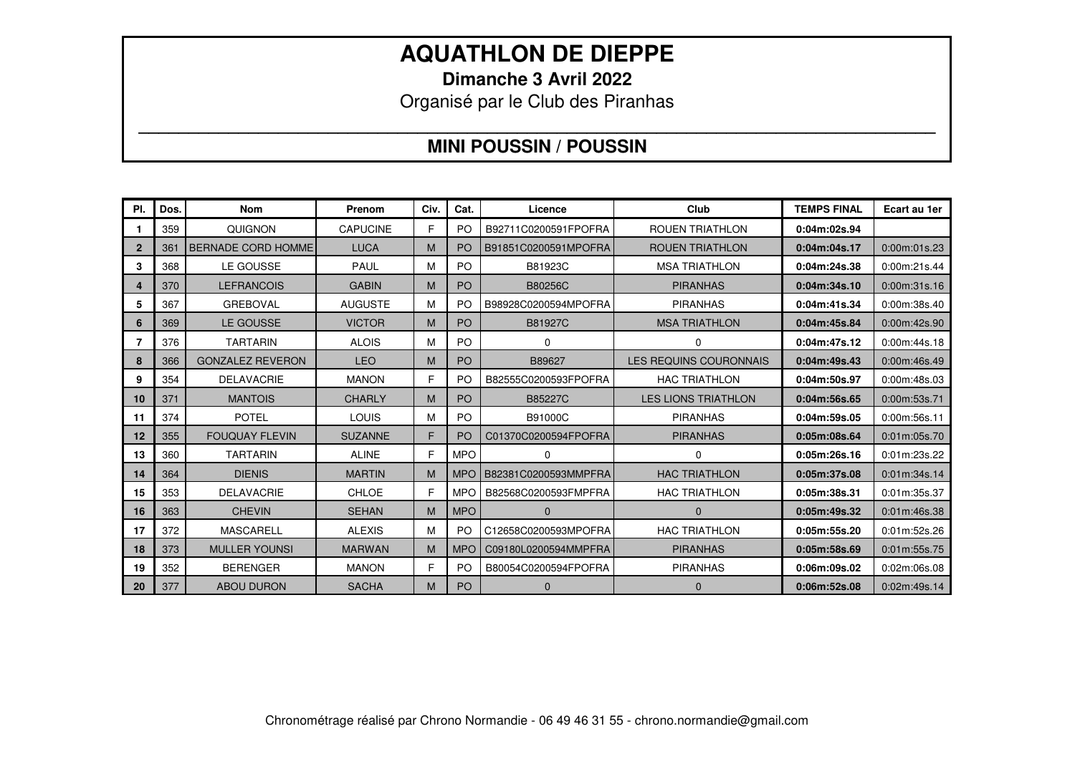**Dimanche 3 Avril 2022** 

Organisé par le Club des Piranhas

### **\_\_\_\_\_\_\_\_\_\_\_\_\_\_\_\_\_\_\_\_\_\_\_\_\_\_\_\_\_\_\_\_\_\_\_\_\_\_\_\_\_\_\_\_\_\_\_\_\_\_\_\_\_\_\_\_\_\_\_\_\_\_\_\_\_\_\_\_\_\_\_\_\_\_\_\_\_\_\_\_ MINI POUSSIN / POUSSIN**

| PI.          | Dos. | <b>Nom</b>                | Prenom          | Civ. | Cat.           | Licence              | Club                          | <b>TEMPS FINAL</b> | Ecart au 1er |
|--------------|------|---------------------------|-----------------|------|----------------|----------------------|-------------------------------|--------------------|--------------|
|              | 359  | QUIGNON                   | <b>CAPUCINE</b> | F    | <b>PO</b>      | B92711C0200591FPOFRA | <b>ROUEN TRIATHLON</b>        | 0:04m:02s.94       |              |
| $\mathbf{2}$ | 361  | <b>BERNADE CORD HOMME</b> | <b>LUCA</b>     | M    | <b>PO</b>      | B91851C0200591MPOFRA | <b>ROUEN TRIATHLON</b>        | 0:04m:04s.17       | 0:00m:01s.23 |
| 3            | 368  | LE GOUSSE                 | <b>PAUL</b>     | М    | <b>PO</b>      | B81923C              | <b>MSA TRIATHLON</b>          | 0:04m:24s.38       | 0:00m:21s.44 |
| 4            | 370  | <b>LEFRANCOIS</b>         | <b>GABIN</b>    | M    | PO             | B80256C              | <b>PIRANHAS</b>               | 0:04m:34s.10       | 0:00m:31s.16 |
| 5            | 367  | <b>GREBOVAL</b>           | <b>AUGUSTE</b>  | м    | P <sub>O</sub> | B98928C0200594MPOFRA | <b>PIRANHAS</b>               | 0:04m:41s.34       | 0:00m:38s.40 |
| 6            | 369  | LE GOUSSE                 | <b>VICTOR</b>   | M    | <b>PO</b>      | B81927C              | <b>MSA TRIATHLON</b>          | 0:04m:45s.84       | 0:00m:42s.90 |
|              | 376  | <b>TARTARIN</b>           | <b>ALOIS</b>    | М    | <b>PO</b>      | $\mathbf 0$          | U.                            | 0:04m:47s.12       | 0:00m:44s.18 |
| 8            | 366  | <b>GONZALEZ REVERON</b>   | <b>LEO</b>      | M    | <b>PO</b>      | B89627               | <b>LES REQUINS COURONNAIS</b> | 0:04m:49s.43       | 0:00m:46s.49 |
| 9            | 354  | <b>DELAVACRIE</b>         | <b>MANON</b>    | F    | P <sub>O</sub> | B82555C0200593FPOFRA | <b>HAC TRIATHLON</b>          | 0:04m:50s.97       | 0:00m:48s.03 |
| 10           | 371  | <b>MANTOIS</b>            | <b>CHARLY</b>   | M    | PO             | B85227C              | <b>LES LIONS TRIATHLON</b>    | 0:04m:56s.65       | 0:00m:53s.71 |
| 11           | 374  | <b>POTEL</b>              | LOUIS           | м    | P <sub>O</sub> | B91000C              | <b>PIRANHAS</b>               | 0:04m:59s.05       | 0:00m:56s.11 |
| 12           | 355  | <b>FOUQUAY FLEVIN</b>     | <b>SUZANNE</b>  | F    | PO             | C01370C0200594FPOFRA | <b>PIRANHAS</b>               | 0:05m:08s.64       | 0:01m:05s.70 |
| 13           | 360  | <b>TARTARIN</b>           | <b>ALINE</b>    | F    | <b>MPO</b>     | $\Omega$             | 0                             | 0:05m:26s.16       | 0:01m:23s.22 |
| 14           | 364  | <b>DIENIS</b>             | <b>MARTIN</b>   | M    | <b>MPO</b>     | B82381C0200593MMPFRA | <b>HAC TRIATHLON</b>          | 0:05m:37s.08       | 0:01m:34s.14 |
| 15           | 353  | <b>DELAVACRIE</b>         | CHLOE           | Е    | <b>MPO</b>     | B82568C0200593FMPFRA | HAC TRIATHLON                 | 0:05m:38s.31       | 0:01m:35s.37 |
| 16           | 363  | <b>CHEVIN</b>             | <b>SEHAN</b>    | M    | <b>MPO</b>     | $\Omega$             | $\Omega$                      | 0:05m:49s.32       | 0:01m:46s.38 |
| 17           | 372  | <b>MASCARELL</b>          | <b>ALEXIS</b>   | м    | P <sub>O</sub> | C12658C0200593MPOFRA | <b>HAC TRIATHLON</b>          | 0:05m:55s.20       | 0:01m:52s.26 |
| 18           | 373  | <b>MULLER YOUNSI</b>      | <b>MARWAN</b>   | M    | <b>MPO</b>     | C09180L0200594MMPFRA | <b>PIRANHAS</b>               | 0:05m:58s.69       | 0:01m:55s.75 |
| 19           | 352  | <b>BERENGER</b>           | <b>MANON</b>    | F    | <b>PO</b>      | B80054C0200594FPOFRA | <b>PIRANHAS</b>               | 0:06m:09s.02       | 0:02m:06s.08 |
| 20           | 377  | <b>ABOU DURON</b>         | <b>SACHA</b>    | M    | PO             | $\mathbf 0$          | $\Omega$                      | 0:06m:52s.08       | 0:02m:49s.14 |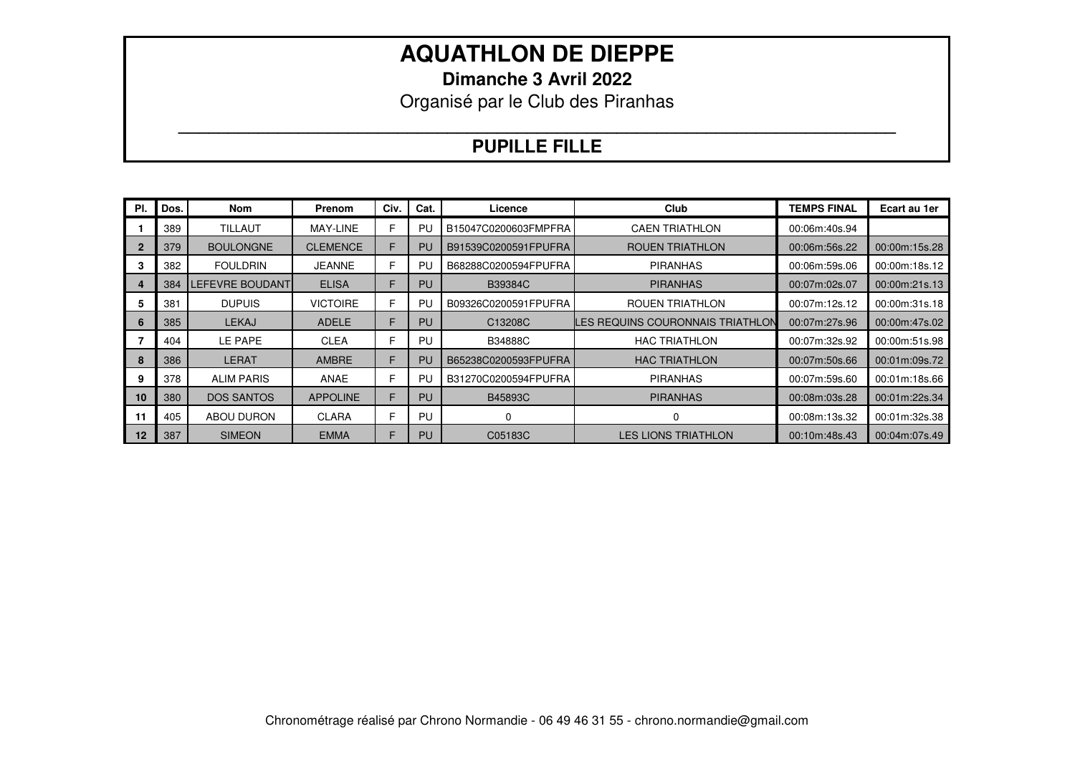**Dimanche 3 Avril 2022** 

Organisé par le Club des Piranhas

### **\_\_\_\_\_\_\_\_\_\_\_\_\_\_\_\_\_\_\_\_\_\_\_\_\_\_\_\_\_\_\_\_\_\_\_\_\_\_\_\_\_\_\_\_\_\_\_\_\_\_\_\_\_\_\_\_\_\_\_\_\_\_\_\_\_\_\_\_\_\_\_\_ PUPILLE FILLE**

| PI. | Dos. | Nom                    | Prenom          | Civ. | Cat. | Licence              | Club                             | <b>TEMPS FINAL</b> | Ecart au 1er  |
|-----|------|------------------------|-----------------|------|------|----------------------|----------------------------------|--------------------|---------------|
|     | 389  | <b>TILLAUT</b>         | MAY-LINE        | F    | PU   | B15047C0200603FMPFRA | <b>CAEN TRIATHLON</b>            | 00:06m:40s.94      |               |
|     | 379  | <b>BOULONGNE</b>       | <b>CLEMENCE</b> | F    | PU   | B91539C0200591FPUFRA | <b>ROUEN TRIATHLON</b>           | 00:06m:56s.22      | 00:00m:15s.28 |
|     | 382  | <b>FOULDRIN</b>        | <b>JEANNE</b>   | F    | PU   | B68288C0200594FPUFRA | <b>PIRANHAS</b>                  | 00:06m:59s.06      | 00:00m:18s.12 |
|     | 384  | <b>LEFEVRE BOUDANT</b> | <b>ELISA</b>    | F    | PU   | B39384C              | <b>PIRANHAS</b>                  | 00:07m:02s.07      | 00:00m:21s.13 |
| 5   | 381  | <b>DUPUIS</b>          | <b>VICTOIRE</b> | F    | PU   | B09326C0200591FPUFRA | ROUEN TRIATHLON                  | 00:07m:12s.12      | 00:00m:31s.18 |
| 6   | 385  | <b>LEKAJ</b>           | <b>ADELE</b>    | F    | PU   | C13208C              | LES REQUINS COURONNAIS TRIATHLON | 00:07m:27s.96      | 00:00m:47s.02 |
|     | 404  | LE PAPE                | <b>CLEA</b>     | F    | PU   | <b>B34888C</b>       | <b>HAC TRIATHLON</b>             | 00:07m:32s.92      | 00:00m:51s.98 |
| 8   | 386  | <b>LERAT</b>           | <b>AMBRE</b>    | F.   | PU   | B65238C0200593FPUFRA | <b>HAC TRIATHLON</b>             | 00:07m:50s.66      | 00:01m:09s.72 |
| 9   | 378  | <b>ALIM PARIS</b>      | ANAE            | F    | PU   | B31270C0200594FPUFRA | <b>PIRANHAS</b>                  | 00:07m:59s.60      | 00:01m:18s.66 |
| 10  | 380  | <b>DOS SANTOS</b>      | <b>APPOLINE</b> | F    | PU   | B45893C              | <b>PIRANHAS</b>                  | 00:08m:03s.28      | 00:01m:22s.34 |
| 11  | 405  | ABOU DURON             | <b>CLARA</b>    | F    | PU   | 0                    | 0                                | 00:08m:13s.32      | 00:01m:32s.38 |
| 12  | 387  | <b>SIMEON</b>          | <b>EMMA</b>     | F    | PU   | C05183C              | <b>LES LIONS TRIATHLON</b>       | 00:10m:48s.43      | 00:04m:07s.49 |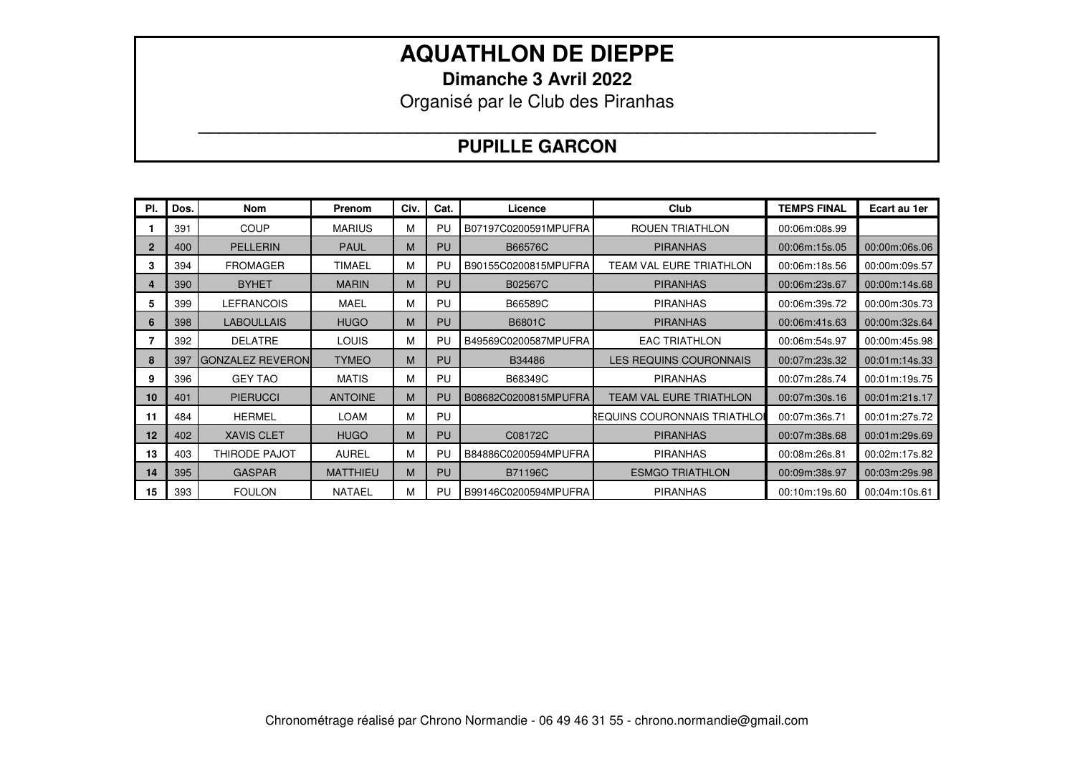**Dimanche 3 Avril 2022** 

Organisé par le Club des Piranhas

### **\_\_\_\_\_\_\_\_\_\_\_\_\_\_\_\_\_\_\_\_\_\_\_\_\_\_\_\_\_\_\_\_\_\_\_\_\_\_\_\_\_\_\_\_\_\_\_\_\_\_\_\_\_\_\_\_\_\_\_\_\_\_\_\_\_\_\_\_ PUPILLE GARCON**

| PI.         | Dos. | Nom                     | Prenom          | Civ. | Cat.      | Licence              | Club                         | <b>TEMPS FINAL</b> | Ecart au 1er  |
|-------------|------|-------------------------|-----------------|------|-----------|----------------------|------------------------------|--------------------|---------------|
|             | 391  | COUP                    | <b>MARIUS</b>   | М    | PU        | B07197C0200591MPUFRA | <b>ROUEN TRIATHLON</b>       | 00:06m:08s.99      |               |
| $\mathbf 2$ | 400  | <b>PELLERIN</b>         | <b>PAUL</b>     | M    | <b>PU</b> | B66576C              | <b>PIRANHAS</b>              | 00:06m:15s.05      | 00:00m:06s.06 |
| 3           | 394  | <b>FROMAGER</b>         | <b>TIMAEL</b>   | М    | PU        | B90155C0200815MPUFRA | TEAM VAL EURE TRIATHLON      | 00:06m:18s.56      | 00:00m:09s.57 |
|             | 390  | <b>BYHET</b>            | <b>MARIN</b>    | M    | <b>PU</b> | B02567C              | <b>PIRANHAS</b>              | 00:06m:23s.67      | 00:00m:14s.68 |
| 5           | 399  | <b>LEFRANCOIS</b>       | <b>MAEL</b>     | М    | PU        | B66589C              | <b>PIRANHAS</b>              | 00:06m:39s.72      | 00:00m:30s.73 |
| 6           | 398  | <b>LABOULLAIS</b>       | <b>HUGO</b>     | M    | <b>PU</b> | B6801C               | <b>PIRANHAS</b>              | 00:06m:41s.63      | 00:00m:32s.64 |
|             | 392  | <b>DELATRE</b>          | <b>LOUIS</b>    | М    | PU        | B49569C0200587MPUFRA | <b>EAC TRIATHLON</b>         | 00:06m:54s.97      | 00:00m:45s.98 |
| 8           | 397  | <b>GONZALEZ REVERON</b> | <b>TYMEO</b>    | M    | <b>PU</b> | B34486               | LES REQUINS COURONNAIS       | 00:07m:23s.32      | 00:01m:14s.33 |
| 9           | 396  | <b>GEY TAO</b>          | <b>MATIS</b>    | М    | PU        | B68349C              | <b>PIRANHAS</b>              | 00:07m:28s.74      | 00:01m:19s.75 |
| 10          | 401  | <b>PIERUCCI</b>         | <b>ANTOINE</b>  | M    | PU        | B08682C0200815MPUFRA | TEAM VAL EURE TRIATHLON      | 00:07m:30s.16      | 00:01m:21s.17 |
| 11          | 484  | <b>HERMEL</b>           | <b>LOAM</b>     | м    | PU        |                      | REQUINS COURONNAIS TRIATHLOI | 00:07m:36s.71      | 00:01m:27s.72 |
| 12          | 402  | <b>XAVIS CLET</b>       | <b>HUGO</b>     | M    | <b>PU</b> | C08172C              | <b>PIRANHAS</b>              | 00:07m:38s.68      | 00:01m:29s.69 |
| 13          | 403  | <b>THIRODE PAJOT</b>    | <b>AUREL</b>    | м    | PU        | B84886C0200594MPUFRA | <b>PIRANHAS</b>              | 00:08m:26s.81      | 00:02m:17s.82 |
| 14          | 395  | <b>GASPAR</b>           | <b>MATTHIEU</b> | M    | <b>PU</b> | <b>B71196C</b>       | <b>ESMGO TRIATHLON</b>       | 00:09m:38s.97      | 00:03m:29s.98 |
| 15          | 393  | <b>FOULON</b>           | <b>NATAEL</b>   | М    | PU        | B99146C0200594MPUFRA | <b>PIRANHAS</b>              | 00:10m:19s.60      | 00:04m:10s.61 |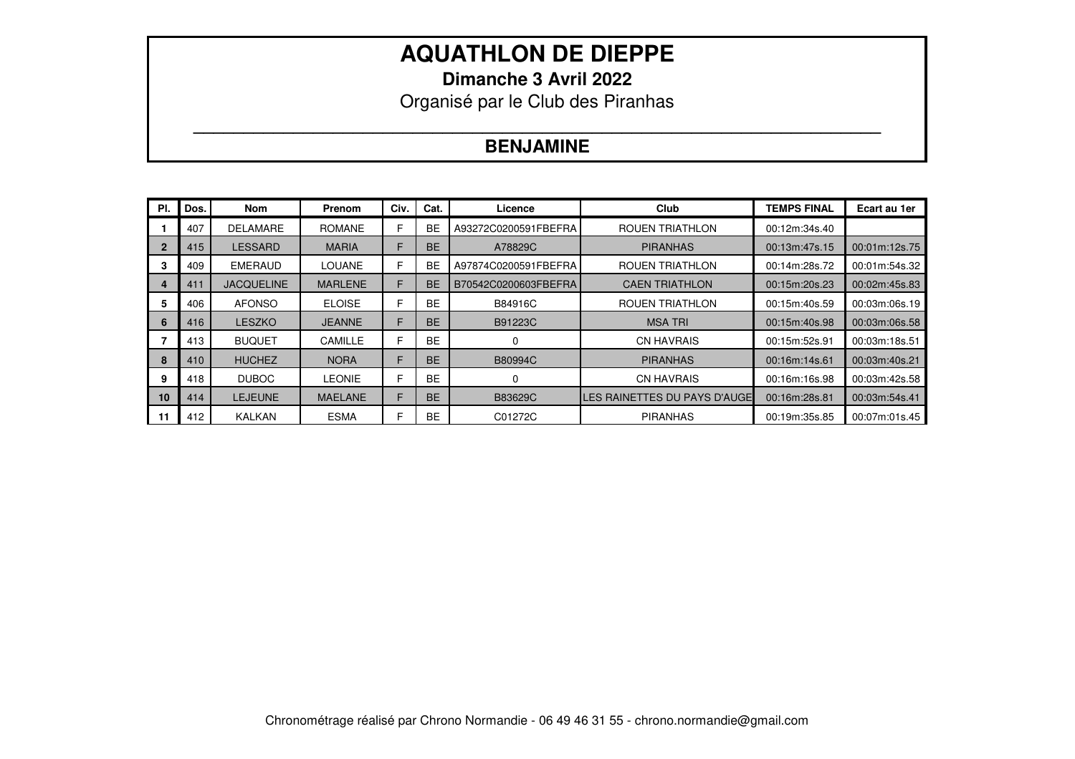**Dimanche 3 Avril 2022** 

Organisé par le Club des Piranhas

### **\_\_\_\_\_\_\_\_\_\_\_\_\_\_\_\_\_\_\_\_\_\_\_\_\_\_\_\_\_\_\_\_\_\_\_\_\_\_\_\_\_\_\_\_\_\_\_\_\_\_\_\_\_\_\_\_\_\_\_\_\_\_\_\_\_\_\_\_\_ BENJAMINE**

| PI.            | Dos. | Nom               | Prenom         | Civ. | Cat.      | Licence              | Club                         | <b>TEMPS FINAL</b> | Ecart au 1er  |
|----------------|------|-------------------|----------------|------|-----------|----------------------|------------------------------|--------------------|---------------|
|                | 407  | <b>DELAMARE</b>   | <b>ROMANE</b>  | F    | <b>BE</b> | A93272C0200591FBEFRA | <b>ROUEN TRIATHLON</b>       | 00:12m:34s.40      |               |
| $\overline{2}$ | 415  | <b>LESSARD</b>    | <b>MARIA</b>   | F    | <b>BE</b> | A78829C              | <b>PIRANHAS</b>              | 00:13m:47s.15      | 00:01m:12s.75 |
|                | 409  | <b>EMERAUD</b>    | <b>LOUANE</b>  | F    | <b>BE</b> | A97874C0200591FBEFRA | <b>ROUEN TRIATHLON</b>       | 00:14m:28s.72      | 00:01m:54s.32 |
|                | 411  | <b>JACQUELINE</b> | <b>MARLENE</b> | F    | <b>BE</b> | B70542C0200603FBEFRA | <b>CAEN TRIATHLON</b>        | 00:15m:20s.23      | 00:02m:45s.83 |
| 5              | 406  | <b>AFONSO</b>     | <b>ELOISE</b>  | F    | <b>BE</b> | B84916C              | <b>ROUEN TRIATHLON</b>       | 00:15m:40s.59      | 00:03m:06s.19 |
| 6              | 416  | <b>LESZKO</b>     | <b>JEANNE</b>  | F    | <b>BE</b> | B91223C              | <b>MSA TRI</b>               | 00:15m:40s.98      | 00:03m:06s.58 |
|                | 413  | <b>BUQUET</b>     | <b>CAMILLE</b> | F    | <b>BE</b> |                      | <b>CN HAVRAIS</b>            | 00:15m:52s.91      | 00:03m:18s.51 |
|                | 410  | <b>HUCHEZ</b>     | <b>NORA</b>    | F    | <b>BE</b> | B80994C              | <b>PIRANHAS</b>              | 00:16m:14s.61      | 00:03m:40s.21 |
| 9              | 418  | <b>DUBOC</b>      | <b>LEONIE</b>  | F    | <b>BE</b> |                      | <b>CN HAVRAIS</b>            | 00:16m:16s.98      | 00:03m:42s.58 |
| 10             | 414  | <b>LEJEUNE</b>    | <b>MAELANE</b> | F    | <b>BE</b> | B83629C              | LES RAINETTES DU PAYS D'AUGE | 00:16m:28s.81      | 00:03m:54s.41 |
| -11            | 412  | <b>KALKAN</b>     | <b>ESMA</b>    | F    | <b>BE</b> | C01272C              | <b>PIRANHAS</b>              | 00:19m:35s.85      | 00:07m:01s.45 |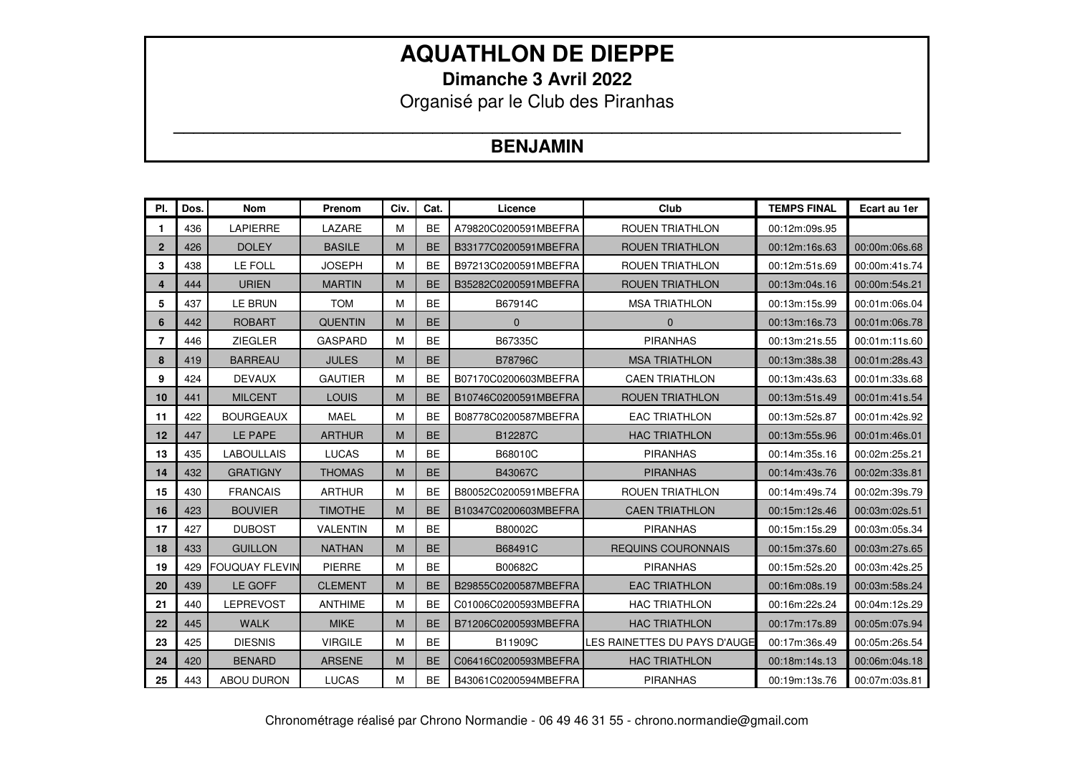**Dimanche 3 Avril 2022** 

Organisé par le Club des Piranhas

### **\_\_\_\_\_\_\_\_\_\_\_\_\_\_\_\_\_\_\_\_\_\_\_\_\_\_\_\_\_\_\_\_\_\_\_\_\_\_\_\_\_\_\_\_\_\_\_\_\_\_\_\_\_\_\_\_\_\_\_\_\_\_\_\_\_\_\_\_\_\_\_\_\_ BENJAMIN**

| PI.            | Dos. | <b>Nom</b>            | Prenom          | Civ. | Cat.      | Licence              | Club                         | <b>TEMPS FINAL</b> | Ecart au 1er  |
|----------------|------|-----------------------|-----------------|------|-----------|----------------------|------------------------------|--------------------|---------------|
| $\mathbf 1$    | 436  | LAPIERRE              | LAZARE          | M    | <b>BE</b> | A79820C0200591MBEFRA | <b>ROUEN TRIATHLON</b>       | 00:12m:09s.95      |               |
| $\mathbf{2}$   | 426  | <b>DOLEY</b>          | <b>BASILE</b>   | M    | <b>BE</b> | B33177C0200591MBEFRA | <b>ROUEN TRIATHLON</b>       | 00:12m:16s.63      | 00:00m:06s.68 |
| 3              | 438  | LE FOLL               | <b>JOSEPH</b>   | M    | <b>BE</b> | B97213C0200591MBEFRA | <b>ROUEN TRIATHLON</b>       | 00:12m:51s.69      | 00:00m:41s.74 |
| 4              | 444  | <b>URIEN</b>          | <b>MARTIN</b>   | M    | <b>BE</b> | B35282C0200591MBEFRA | <b>ROUEN TRIATHLON</b>       | 00:13m:04s.16      | 00:00m:54s.21 |
| 5              | 437  | LE BRUN               | <b>TOM</b>      | M    | <b>BE</b> | B67914C              | <b>MSA TRIATHLON</b>         | 00:13m:15s.99      | 00:01m:06s.04 |
| 6              | 442  | <b>ROBART</b>         | <b>QUENTIN</b>  | M    | <b>BE</b> | $\mathbf{0}$         | $\mathbf{0}$                 | 00:13m:16s.73      | 00:01m:06s.78 |
| $\overline{7}$ | 446  | <b>ZIEGLER</b>        | <b>GASPARD</b>  | M    | <b>BE</b> | B67335C              | <b>PIRANHAS</b>              | 00:13m:21s.55      | 00:01m:11s.60 |
| 8              | 419  | <b>BARREAU</b>        | <b>JULES</b>    | M    | <b>BE</b> | <b>B78796C</b>       | <b>MSA TRIATHLON</b>         | 00:13m:38s.38      | 00:01m:28s.43 |
| 9              | 424  | <b>DEVAUX</b>         | <b>GAUTIER</b>  | M    | <b>BE</b> | B07170C0200603MBEFRA | <b>CAEN TRIATHLON</b>        | 00:13m:43s.63      | 00:01m:33s.68 |
| 10             | 441  | <b>MILCENT</b>        | LOUIS           | M    | <b>BE</b> | B10746C0200591MBEFRA | <b>ROUEN TRIATHLON</b>       | 00:13m:51s.49      | 00:01m:41s.54 |
| 11             | 422  | <b>BOURGEAUX</b>      | <b>MAEL</b>     | M    | <b>BE</b> | B08778C0200587MBEFRA | <b>EAC TRIATHLON</b>         | 00:13m:52s.87      | 00:01m:42s.92 |
| 12             | 447  | LE PAPE               | <b>ARTHUR</b>   | M    | <b>BE</b> | B12287C              | <b>HAC TRIATHLON</b>         | 00:13m:55s.96      | 00:01m:46s.01 |
| 13             | 435  | <b>LABOULLAIS</b>     | <b>LUCAS</b>    | M    | <b>BE</b> | B68010C              | <b>PIRANHAS</b>              | 00:14m:35s.16      | 00:02m:25s.21 |
| 14             | 432  | <b>GRATIGNY</b>       | <b>THOMAS</b>   | M    | <b>BE</b> | B43067C              | <b>PIRANHAS</b>              | 00:14m:43s.76      | 00:02m:33s.81 |
| 15             | 430  | <b>FRANCAIS</b>       | <b>ARTHUR</b>   | M    | <b>BE</b> | B80052C0200591MBEFRA | <b>ROUEN TRIATHLON</b>       | 00:14m:49s.74      | 00:02m:39s.79 |
| 16             | 423  | <b>BOUVIER</b>        | <b>TIMOTHE</b>  | M    | <b>BE</b> | B10347C0200603MBEFRA | <b>CAEN TRIATHLON</b>        | 00:15m:12s.46      | 00:03m:02s.51 |
| 17             | 427  | <b>DUBOST</b>         | <b>VALENTIN</b> | M    | <b>BE</b> | B80002C              | <b>PIRANHAS</b>              | 00:15m:15s.29      | 00:03m:05s.34 |
| 18             | 433  | <b>GUILLON</b>        | <b>NATHAN</b>   | M    | <b>BE</b> | B68491C              | <b>REQUINS COURONNAIS</b>    | 00:15m:37s.60      | 00:03m:27s.65 |
| 19             | 429  | <b>FOUQUAY FLEVIN</b> | PIERRE          | M    | <b>BE</b> | B00682C              | <b>PIRANHAS</b>              | 00:15m:52s.20      | 00:03m:42s.25 |
| 20             | 439  | LE GOFF               | <b>CLEMENT</b>  | M    | <b>BE</b> | B29855C0200587MBEFRA | <b>EAC TRIATHLON</b>         | 00:16m:08s.19      | 00:03m:58s.24 |
| 21             | 440  | <b>LEPREVOST</b>      | <b>ANTHIME</b>  | M    | <b>BE</b> | C01006C0200593MBEFRA | <b>HAC TRIATHLON</b>         | 00:16m:22s.24      | 00:04m:12s.29 |
| 22             | 445  | <b>WALK</b>           | <b>MIKE</b>     | M    | <b>BE</b> | B71206C0200593MBEFRA | <b>HAC TRIATHLON</b>         | 00:17m:17s.89      | 00:05m:07s.94 |
| 23             | 425  | <b>DIESNIS</b>        | <b>VIRGILE</b>  | M    | <b>BE</b> | B11909C              | LES RAINETTES DU PAYS D'AUGE | 00:17m:36s.49      | 00:05m:26s.54 |
| 24             | 420  | <b>BENARD</b>         | <b>ARSENE</b>   | M    | <b>BE</b> | C06416C0200593MBEFRA | <b>HAC TRIATHLON</b>         | 00:18m:14s.13      | 00:06m:04s.18 |
| 25             | 443  | <b>ABOU DURON</b>     | <b>LUCAS</b>    | M    | <b>BE</b> | B43061C0200594MBEFRA | <b>PIRANHAS</b>              | 00:19m:13s.76      | 00:07m:03s.81 |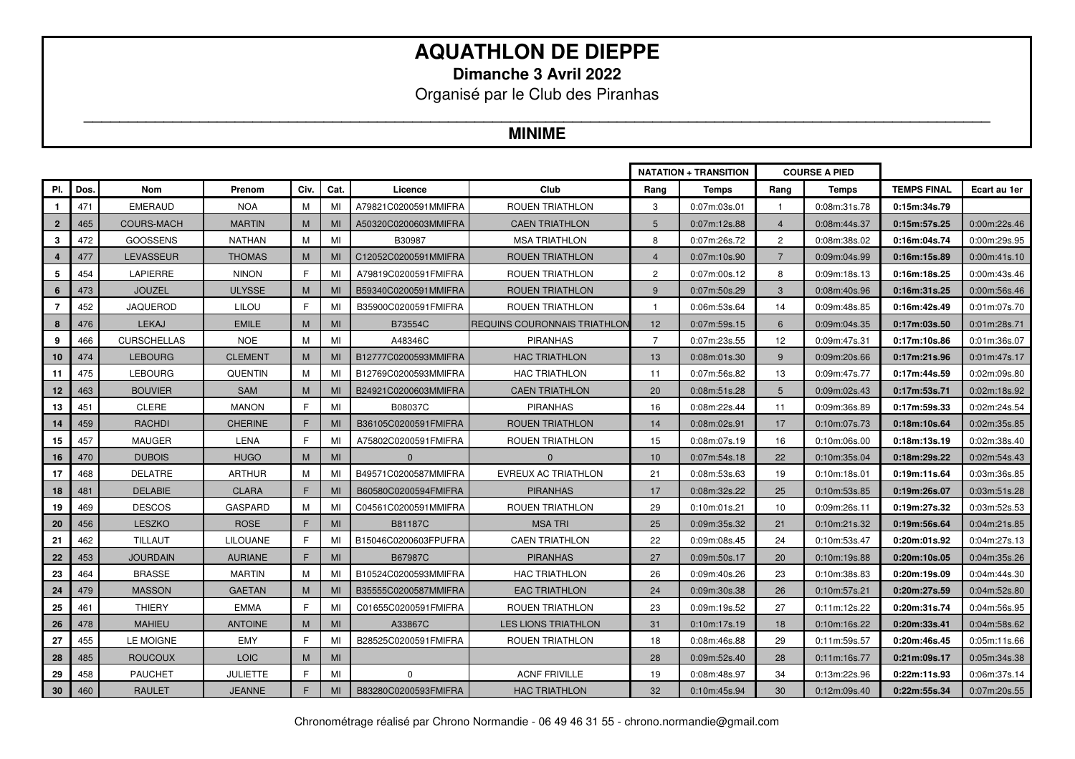**Dimanche 3 Avril 2022** 

Organisé par le Club des Piranhas

### **MINIME**

|                |      |                    |                 |             |      |                      |                              |                | <b>NATATION + TRANSITION</b> |                | <b>COURSE A PIED</b> |                    |              |
|----------------|------|--------------------|-----------------|-------------|------|----------------------|------------------------------|----------------|------------------------------|----------------|----------------------|--------------------|--------------|
| PI.            | Dos. | <b>Nom</b>         | Prenom          | Civ.        | Cat. | Licence              | Club                         | Rang           | <b>Temps</b>                 | Rang           | <b>Temps</b>         | <b>TEMPS FINAL</b> | Ecart au 1er |
| $\mathbf{1}$   | 471  | <b>EMERAUD</b>     | NOA             | м           | MI   | A79821C0200591MMIFRA | ROUEN TRIATHLON              | 3              | 0:07m:03s.01                 |                | 0:08m:31s.78         | 0:15m:34s.79       |              |
| $\overline{2}$ | 465  | <b>COURS-MACH</b>  | <b>MARTIN</b>   | M           | MI   | A50320C0200603MMIFRA | <b>CAEN TRIATHLON</b>        | 5              | 0:07m:12s.88                 | $\overline{4}$ | 0:08m:44s.37         | 0:15m:57s.25       | 0:00m:22s.46 |
| 3              | 472  | <b>GOOSSENS</b>    | <b>NATHAN</b>   | М           | MI   | B30987               | <b>MSA TRIATHLON</b>         | 8              | 0:07m:26s.72                 | $\overline{c}$ | 0:08m:38s.02         | 0:16m:04s.74       | 0:00m:29s.95 |
|                | 477  | LEVASSEUR          | <b>THOMAS</b>   | M           | MI   | C12052C0200591MMIFRA | ROUEN TRIATHLON              | $\overline{4}$ | 0:07m:10s.90                 | 7              | 0:09m:04s.99         | 0:16m:15s.89       | 0:00m:41s.10 |
| 5              | 454  | <b>LAPIERRE</b>    | <b>NINON</b>    | E           | MI   | A79819C0200591FMIFRA | ROUEN TRIATHLON              | $\overline{2}$ | 0:07m:00s.12                 | 8              | 0:09m:18s.13         | 0:16m:18s.25       | 0:00m:43s.46 |
| 6              | 473  | <b>JOUZEL</b>      | <b>ULYSSE</b>   | M           | MI   | B59340C0200591MMIFRA | <b>ROUEN TRIATHLON</b>       | 9              | 0:07m:50s.29                 | 3              | 0:08m:40s.96         | 0:16m:31s.25       | 0:00m:56s.46 |
| $\overline{7}$ | 452  | <b>JAQUEROD</b>    | <b>LILOU</b>    | E           | MI   | B35900C0200591FMIFRA | ROUEN TRIATHLON              | $\overline{1}$ | 0:06m:53s.64                 | 14             | 0:09m:48s.85         | 0:16m:42s.49       | 0:01m:07s.70 |
| 8              | 476  | <b>LEKAJ</b>       | <b>EMILE</b>    | M           | MI   | B73554C              | REQUINS COURONNAIS TRIATHLON | 12             | 0:07m:59s.15                 | $6^{\circ}$    | 0:09m:04s.35         | 0:17m:03s.50       | 0:01m:28s.71 |
| 9              | 466  | <b>CURSCHELLAS</b> | <b>NOE</b>      | М           | MI   | A48346C              | <b>PIRANHAS</b>              | $\overline{7}$ | 0:07m:23s.55                 | 12             | 0:09m:47s.31         | 0:17m:10s.86       | 0:01m:36s.07 |
| 10             | 474  | <b>LEBOURG</b>     | <b>CLEMENT</b>  | M           | MI   | B12777C0200593MMIFRA | <b>HAC TRIATHLON</b>         | 13             | 0:08m:01s.30                 | 9              | 0:09m:20s.66         | 0:17m:21s.96       | 0:01m:47s.17 |
| 11             | 475  | <b>LEBOURG</b>     | <b>QUENTIN</b>  | м           | MI   | B12769C0200593MMIFRA | <b>HAC TRIATHLON</b>         | 11             | 0:07m:56s.82                 | 13             | 0:09m:47s.77         | 0:17m:44s.59       | 0:02m:09s.80 |
| 12             | 463  | <b>BOUVIER</b>     | <b>SAM</b>      | M           | MI   | B24921C0200603MMIFRA | <b>CAEN TRIATHLON</b>        | 20             | 0:08m:51s.28                 | 5              | 0:09m:02s.43         | 0:17m:53s.71       | 0:02m:18s.92 |
| 13             | 451  | CLERE              | <b>MANON</b>    | F           | MI   | B08037C              | <b>PIRANHAS</b>              | 16             | 0:08m:22s.44                 | 11             | 0:09m:36s.89         | 0:17m:59s.33       | 0:02m:24s.54 |
| 14             | 459  | <b>RACHDI</b>      | <b>CHERINE</b>  | F.          | MI   | B36105C0200591FMIFRA | <b>ROUEN TRIATHLON</b>       | 14             | 0:08m:02s.91                 | 17             | 0:10m:07s.73         | 0:18m:10s.64       | 0:02m:35s.85 |
| 15             | 457  | <b>MAUGER</b>      | LENA            | F.          | MI   | A75802C0200591FMIFRA | ROUEN TRIATHLON              | 15             | 0:08m:07s.19                 | 16             | 0:10m:06s.00         | 0:18m:13s.19       | 0:02m:38s.40 |
| 16             | 470  | <b>DUBOIS</b>      | <b>HUGO</b>     | M           | MI   | $\Omega$             | $\mathbf 0$                  | 10             | 0:07m:54s.18                 | 22             | 0:10m:35s.04         | 0:18m:29s.22       | 0:02m:54s.43 |
| 17             | 468  | <b>DELATRE</b>     | <b>ARTHUR</b>   | м           | MI   | B49571C0200587MMIFRA | EVREUX AC TRIATHLON          | 21             | 0:08m:53s.63                 | 19             | 0:10m:18s.01         | 0:19m:11s.64       | 0:03m:36s.85 |
| 18             | 481  | <b>DELABIE</b>     | <b>CLARA</b>    | F.          | MI   | B60580C0200594FMIFRA | <b>PIRANHAS</b>              | 17             | 0:08m:32s.22                 | 25             | 0:10m:53s.85         | 0:19m:26s.07       | 0:03m:51s.28 |
| 19             | 469  | <b>DESCOS</b>      | <b>GASPARD</b>  | м           | MI   | C04561C0200591MMIFRA | ROUEN TRIATHLON              | 29             | 0:10m:01s.21                 | 10             | 0:09m:26s.11         | 0:19m:27s.32       | 0:03m:52s.53 |
| 20             | 456  | <b>LESZKO</b>      | <b>ROSE</b>     | F.          | MI   | <b>B81187C</b>       | <b>MSATRI</b>                | 25             | 0:09m:35s.32                 | 21             | 0:10m:21s.32         | 0:19m:56s.64       | 0:04m:21s.85 |
| 21             | 462  | <b>TILLAUT</b>     | <b>LILOUANE</b> | $\mathsf F$ | MI   | B15046C0200603FPUFRA | <b>CAEN TRIATHLON</b>        | 22             | 0:09m:08s.45                 | 24             | 0:10m:53s.47         | 0:20m:01s.92       | 0:04m:27s.13 |
| 22             | 453  | <b>JOURDAIN</b>    | <b>AURIANE</b>  | F           | MI   | B67987C              | <b>PIRANHAS</b>              | 27             | 0:09m:50s.17                 | 20             | 0:10m:19s.88         | 0:20m:10s.05       | 0:04m:35s.26 |
| 23             | 464  | <b>BRASSE</b>      | <b>MARTIN</b>   | М           | MI   | B10524C0200593MMIFRA | <b>HAC TRIATHLON</b>         | 26             | 0:09m:40s.26                 | 23             | 0:10m:38s.83         | 0:20m:19s.09       | 0:04m:44s.30 |
| 24             | 479  | <b>MASSON</b>      | <b>GAETAN</b>   | M           | MI   | B35555C0200587MMIFRA | <b>EAC TRIATHLON</b>         | 24             | 0:09m:30s.38                 | 26             | 0:10m:57s.21         | 0:20m:27s.59       | 0:04m:52s.80 |
| 25             | 461  | <b>THIERY</b>      | <b>EMMA</b>     | E           | MI   | C01655C0200591FMIFRA | ROUEN TRIATHLON              | 23             | 0:09m:19s.52                 | 27             | 0:11m:12s.22         | 0:20m:31s.74       | 0:04m:56s.95 |
| 26             | 478  | <b>MAHIEU</b>      | <b>ANTOINE</b>  | M           | MI   | A33867C              | <b>LES LIONS TRIATHLON</b>   | 31             | 0:10m:17s.19                 | 18             | 0:10m:16s.22         | 0:20m:33s.41       | 0:04m:58s.62 |
| 27             | 455  | LE MOIGNE          | <b>EMY</b>      | F           | MI   | B28525C0200591FMIFRA | <b>ROUEN TRIATHLON</b>       | 18             | 0:08m:46s.88                 | 29             | 0:11m:59s.57         | 0:20m:46s.45       | 0:05m:11s.66 |
| 28             | 485  | <b>ROUCOUX</b>     | <b>LOIC</b>     | M           | MI   |                      |                              | 28             | 0:09m:52s.40                 | 28             | 0:11m:16s.77         | 0:21m:09s.17       | 0:05m:34s.38 |
| 29             | 458  | <b>PAUCHET</b>     | JULIETTE        | F.          | MI   | 0                    | <b>ACNF FRIVILLE</b>         | 19             | 0:08m:48s.97                 | 34             | 0:13m:22s.96         | 0:22m:11s.93       | 0:06m:37s.14 |
| 30             | 460  | <b>RAULET</b>      | <b>JEANNE</b>   | F.          | MI   | B83280C0200593FMIFRA | <b>HAC TRIATHLON</b>         | 32             | 0:10m:45s.94                 | 30             | 0:12m:09s.40         | 0:22m:55s.34       | 0:07m:20s.55 |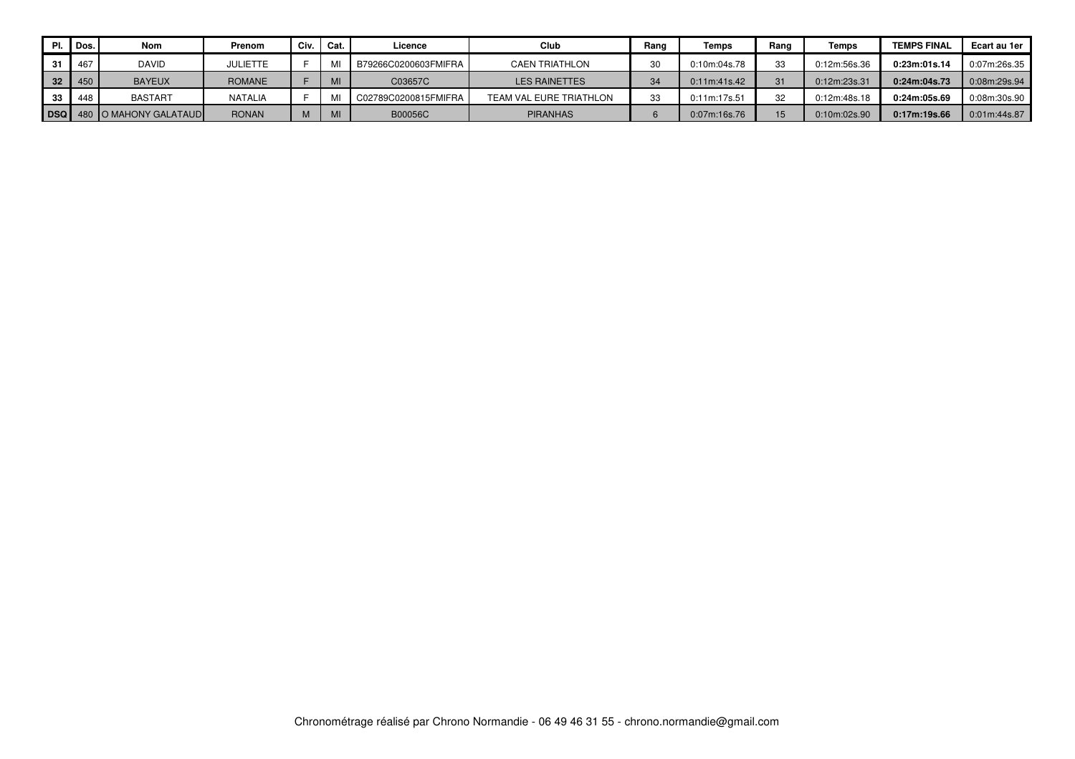|    | PI. Dos. | <b>Nom</b>                       | Prenom          | Civ. | Cat. | Licence              | Club                    | Rang | Temps        | Rang | Temps        | <b>TEMPS FINAL</b> | Ecart au 1er |
|----|----------|----------------------------------|-----------------|------|------|----------------------|-------------------------|------|--------------|------|--------------|--------------------|--------------|
|    | 467      | <b>DAVID</b>                     | <b>JULIETTE</b> |      |      | B79266C0200603FMIFRA | <b>CAEN TRIATHLON</b>   |      | 0:10m:04s.78 | 33   | 0:12m:56s.36 | 0:23m:01s.14       | 0:07m:26s.35 |
| 32 | 450      | <b>BAYEUX</b>                    | <b>ROMANE</b>   |      | MI   | C03657C              | <b>LES RAINETTES</b>    | 34   | 0:11m:41s.42 | 21   | 0:12m:23s.31 | 0:24m:04s.73       | 0:08m:29s.94 |
|    | 448      | <b>BASTART</b>                   | <b>NATALIA</b>  |      |      | C02789C0200815FMIFRA | TEAM VAL EURE TRIATHLON | 33   | 0:11m:17s.51 | 32   | 0:12m:48s.18 | 0:24m:05s.69       | 0:08m:30s.90 |
|    |          | <b>DSQ</b> 480 O MAHONY GALATAUD | <b>RONAN</b>    |      | MI   | B00056C              | <b>PIRANHAS</b>         |      | 0:07m:16s.76 | 15   | 0:10m:02s.90 | 0:17m:19s.66       | 0:01m:44s.87 |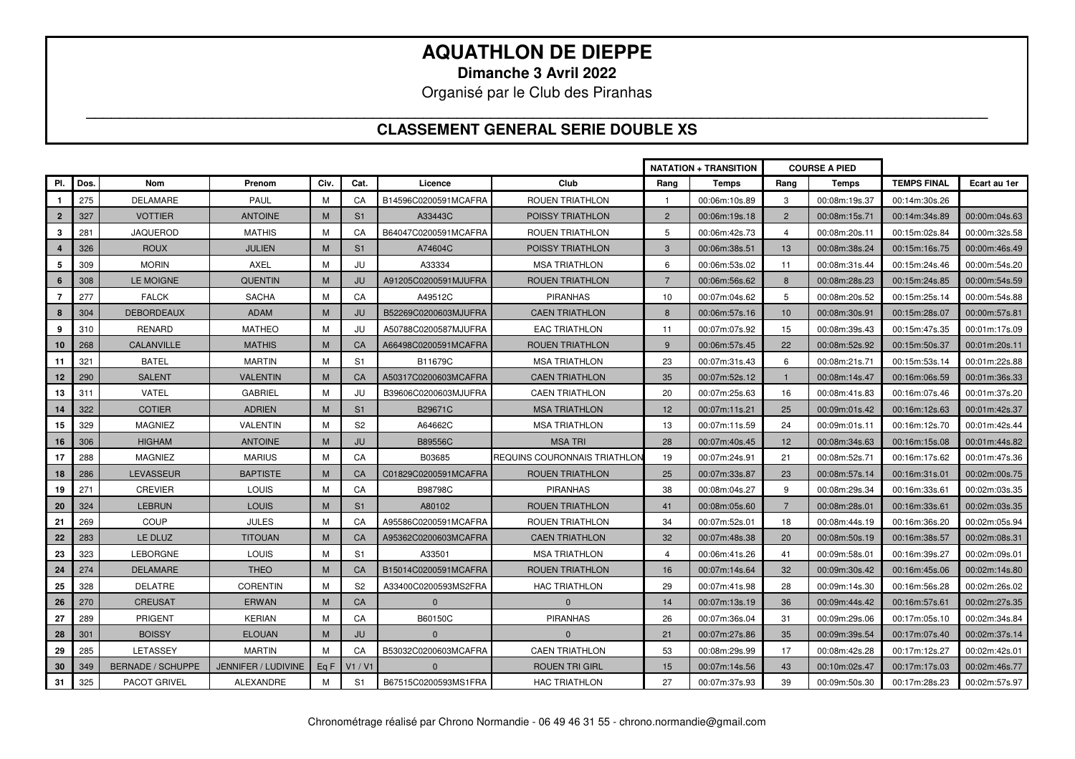**Dimanche 3 Avril 2022** 

Organisé par le Club des Piranhas

#### **\_\_\_\_\_\_\_\_\_\_\_\_\_\_\_\_\_\_\_\_\_\_\_\_\_\_\_\_\_\_\_\_\_\_\_\_\_\_\_\_\_\_\_\_\_\_\_\_\_\_\_\_\_\_\_\_\_\_\_\_\_\_\_\_\_\_\_\_\_\_\_\_\_\_\_\_\_\_\_\_\_\_\_\_\_\_\_\_\_\_\_\_\_\_\_\_\_\_\_\_\_\_\_\_\_\_\_ CLASSEMENT GENERAL SERIE DOUBLE XS**

|                  |            |                          |                     |      |                |                      |                              |                | <b>NATATION + TRANSITION</b> |                | <b>COURSE A PIED</b> |                    |               |
|------------------|------------|--------------------------|---------------------|------|----------------|----------------------|------------------------------|----------------|------------------------------|----------------|----------------------|--------------------|---------------|
| PI.              | <b>Dos</b> | Nom                      | Prenom              | Civ. | Cat.           | Licence              | Club                         | Rang           | Temps                        | Rang           | <b>Temps</b>         | <b>TEMPS FINAL</b> | Ecart au 1er  |
| $\mathbf{1}$     | 275        | <b>DELAMARE</b>          | PAUL                | M    | CA             | B14596C0200591MCAFRA | ROUEN TRIATHLON              | -1             | 00:06m:10s.89                | 3              | 00:08m:19s.37        | 00:14m:30s.26      |               |
| $\overline{2}$   | 327        | <b>VOTTIER</b>           | <b>ANTOINE</b>      | M    | S <sub>1</sub> | A33443C              | POISSY TRIATHLON             | $\overline{2}$ | 00:06m:19s.18                | $\overline{2}$ | 00:08m:15s.71        | 00:14m:34s.89      | 00:00m:04s.63 |
| 3                | 281        | <b>JAQUEROD</b>          | <b>MATHIS</b>       | M    | CA             | B64047C0200591MCAFRA | ROUEN TRIATHLON              | 5              | 00:06m:42s.73                | 4              | 00:08m:20s.11        | 00:15m:02s.84      | 00:00m:32s.58 |
| $\boldsymbol{A}$ | 326        | <b>ROUX</b>              | <b>JULIEN</b>       | M    | S <sub>1</sub> | A74604C              | <b>POISSY TRIATHLON</b>      | $\mathbf{3}$   | 00:06m:38s.51                | 13             | 00:08m:38s.24        | 00:15m:16s.75      | 00:00m:46s.49 |
| 5                | 309        | <b>MORIN</b>             | <b>AXEL</b>         | M    | JU             | A33334               | <b>MSA TRIATHLON</b>         | 6              | 00:06m:53s.02                | 11             | 00:08m:31s.44        | 00:15m:24s.46      | 00:00m:54s.20 |
| 6                | 308        | <b>LE MOIGNE</b>         | <b>QUENTIN</b>      | M    | JU             | A91205C0200591MJUFRA | <b>ROUEN TRIATHLON</b>       | $\overline{7}$ | 00:06m:56s.62                | 8              | 00:08m:28s.23        | 00:15m:24s.85      | 00:00m:54s.59 |
| $\overline{7}$   | 277        | <b>FALCK</b>             | <b>SACHA</b>        | м    | CA             | A49512C              | <b>PIRANHAS</b>              | 10             | 00:07m:04s.62                | 5              | 00:08m:20s.52        | 00:15m:25s.14      | 00:00m:54s.88 |
|                  | 304        | <b>DEBORDEAUX</b>        | <b>ADAM</b>         | M    | JU             | B52269C0200603MJUFRA | <b>CAEN TRIATHLON</b>        | 8              | 00:06m:57s.16                | 10             | 00:08m:30s.91        | 00:15m:28s.07      | 00:00m:57s.81 |
| 9                | 310        | <b>RENARD</b>            | <b>MATHEO</b>       | M    | JU             | A50788C0200587MJUFRA | <b>EAC TRIATHLON</b>         | 11             | 00:07m:07s.92                | 15             | 00:08m:39s.43        | 00:15m:47s.35      | 00:01m:17s.09 |
| 10               | 268        | <b>CALANVILLE</b>        | <b>MATHIS</b>       | M    | CA             | A66498C0200591MCAFRA | <b>ROUEN TRIATHLON</b>       | 9              | 00:06m:57s.45                | 22             | 00:08m:52s.92        | 00:15m:50s.37      | 00:01m:20s.11 |
| 11               | 321        | <b>BATEL</b>             | <b>MARTIN</b>       | M    | S <sub>1</sub> | B11679C              | <b>MSA TRIATHLON</b>         | 23             | 00:07m:31s.43                | 6              | 00:08m:21s.71        | 00:15m:53s.14      | 00:01m:22s.88 |
| 12               | 290        | <b>SALENT</b>            | <b>VALENTIN</b>     | M    | CA             | A50317C0200603MCAFRA | <b>CAEN TRIATHLON</b>        | 35             | 00:07m:52s.12                | $\overline{1}$ | 00:08m:14s.47        | 00:16m:06s.59      | 00:01m:36s.33 |
| 13               | 311        | VATEL                    | <b>GABRIEL</b>      | M    | JU             | B39606C0200603MJUFRA | <b>CAEN TRIATHLON</b>        | 20             | 00:07m:25s.63                | 16             | 00:08m:41s.83        | 00:16m:07s.46      | 00:01m:37s.20 |
| 14               | 322        | <b>COTIER</b>            | <b>ADRIEN</b>       | M    | S <sub>1</sub> | B29671C              | <b>MSA TRIATHLON</b>         | 12             | 00:07m:11s.21                | 25             | 00:09m:01s.42        | 00:16m:12s.63      | 00:01m:42s.37 |
| 15               | 329        | <b>MAGNIEZ</b>           | <b>VALENTIN</b>     | м    | S <sub>2</sub> | A64662C              | <b>MSA TRIATHLON</b>         | 13             | 00:07m:11s.59                | 24             | 00:09m:01s.11        | 00:16m:12s.70      | 00:01m:42s.44 |
| 16               | 306        | <b>HIGHAM</b>            | <b>ANTOINE</b>      | M    | <b>JU</b>      | B89556C              | <b>MSA TRI</b>               | 28             | 00:07m:40s.45                | 12             | 00:08m:34s.63        | 00:16m:15s.08      | 00:01m:44s.82 |
| 17               | 288        | <b>MAGNIEZ</b>           | <b>MARIUS</b>       | м    | CA             | B03685               | REQUINS COURONNAIS TRIATHLON | 19             | 00:07m:24s.91                | 21             | 00:08m:52s.71        | 00:16m:17s.62      | 00:01m:47s.36 |
| 18               | 286        | LEVASSEUR                | <b>BAPTISTE</b>     | M    | CA             | C01829C0200591MCAFRA | ROUEN TRIATHLON              | 25             | 00:07m:33s.87                | 23             | 00:08m:57s.14        | 00:16m:31s.01      | 00:02m:00s.75 |
| 19               | 271        | <b>CREVIER</b>           | <b>LOUIS</b>        | M    | CA             | B98798C              | <b>PIRANHAS</b>              | 38             | 00:08m:04s.27                | 9              | 00:08m:29s.34        | 00:16m:33s.61      | 00:02m:03s.35 |
| 20               | 324        | <b>LEBRUN</b>            | <b>LOUIS</b>        | M    | S <sub>1</sub> | A80102               | <b>ROUEN TRIATHLON</b>       | 41             | 00:08m:05s.60                | $\overline{7}$ | 00:08m:28s.01        | 00:16m:33s.61      | 00:02m:03s.35 |
| 21               | 269        | <b>COUP</b>              | <b>JULES</b>        | м    | CA             | A95586C0200591MCAFRA | ROUEN TRIATHLON              | 34             | 00:07m:52s.01                | 18             | 00:08m:44s.19        | 00:16m:36s.20      | 00:02m:05s.94 |
| 22               | 283        | LE DLUZ                  | <b>TITOUAN</b>      | M    | CA             | A95362C0200603MCAFRA | <b>CAEN TRIATHLON</b>        | 32             | 00:07m:48s.38                | 20             | 00:08m:50s.19        | 00:16m:38s.57      | 00:02m:08s.31 |
| 23               | 323        | <b>LEBORGNE</b>          | LOUIS               | м    | S <sub>1</sub> | A33501               | <b>MSA TRIATHLON</b>         | $\overline{4}$ | 00:06m:41s.26                | 41             | 00:09m:58s.01        | 00:16m:39s.27      | 00:02m:09s.01 |
| 24               | 274        | <b>DELAMARE</b>          | <b>THEO</b>         | M    | CA             | B15014C0200591MCAFRA | <b>ROUEN TRIATHLON</b>       | 16             | 00:07m:14s.64                | 32             | 00:09m:30s.42        | 00:16m:45s.06      | 00:02m:14s.80 |
| 25               | 328        | <b>DELATRE</b>           | <b>CORENTIN</b>     | M    | S <sub>2</sub> | A33400C0200593MS2FRA | <b>HAC TRIATHLON</b>         | 29             | 00:07m:41s.98                | 28             | 00:09m:14s.30        | 00:16m:56s.28      | 00:02m:26s.02 |
| 26               | 270        | <b>CREUSAT</b>           | <b>ERWAN</b>        | M    | CA             | $\mathbf{0}$         | $\Omega$                     | 14             | 00:07m:13s.19                | 36             | 00:09m:44s.42        | 00:16m:57s.61      | 00:02m:27s.35 |
| 27               | 289        | <b>PRIGENT</b>           | <b>KERIAN</b>       | M    | CA             | B60150C              | PIRANHAS                     | 26             | 00:07m:36s.04                | 31             | 00:09m:29s.06        | 00:17m:05s.10      | 00:02m:34s.84 |
| 28               | 301        | <b>BOISSY</b>            | <b>ELOUAN</b>       | M    | JU             | $\Omega$             | $\Omega$                     | 21             | 00:07m:27s.86                | 35             | 00:09m:39s.54        | 00:17m:07s.40      | 00:02m:37s.14 |
| 29               | 285        | LETASSEY                 | <b>MARTIN</b>       | M    | CA             | B53032C0200603MCAFRA | <b>CAEN TRIATHLON</b>        | 53             | 00:08m:29s.99                | 17             | 00:08m:42s.28        | 00:17m:12s.27      | 00:02m:42s.01 |
| 30               | 349        | <b>BERNADE / SCHUPPE</b> | JENNIFER / LUDIVINE | Eq F | V1 / V1        | $\Omega$             | <b>ROUEN TRI GIRL</b>        | 15             | 00:07m:14s.56                | 43             | 00:10m:02s.47        | 00:17m:17s.03      | 00:02m:46s.77 |
| 31               | 325        | <b>PACOT GRIVEL</b>      | <b>ALEXANDRE</b>    | M    | S <sub>1</sub> | B67515C0200593MS1FRA | <b>HAC TRIATHLON</b>         | 27             | 00:07m:37s.93                | 39             | 00:09m:50s.30        | 00:17m:28s.23      | 00:02m:57s.97 |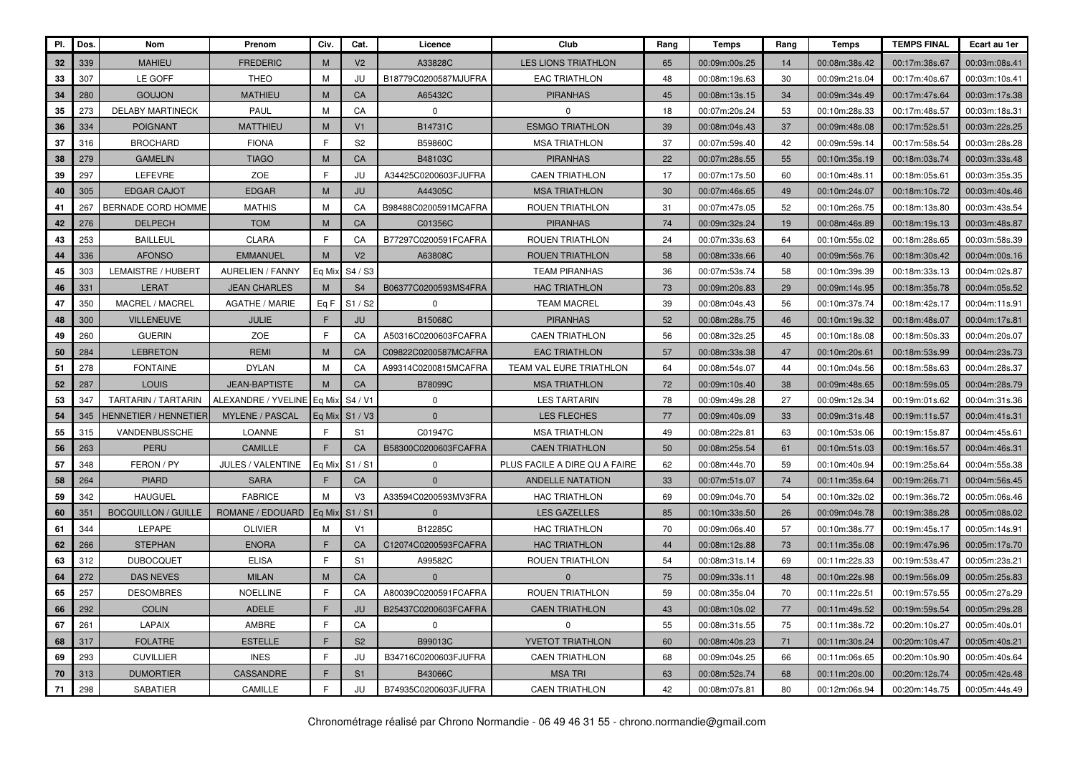| PI. | Dos. | Nom                        | Prenom                   | Civ.         | Cat.           | Licence              | Club                          | Rang | Temps         | Rang | <b>Temps</b>  | <b>TEMPS FINAL</b> | Ecart au 1er  |
|-----|------|----------------------------|--------------------------|--------------|----------------|----------------------|-------------------------------|------|---------------|------|---------------|--------------------|---------------|
| 32  | 339  | <b>MAHIEU</b>              | <b>FREDERIC</b>          | M            | V <sub>2</sub> | A33828C              | <b>LES LIONS TRIATHLON</b>    | 65   | 00:09m:00s.25 | 14   | 00:08m:38s.42 | 00:17m:38s.67      | 00:03m:08s.41 |
| 33  | 307  | LE GOFF                    | <b>THEO</b>              | M            | JU             | B18779C0200587MJUFRA | <b>EAC TRIATHLON</b>          | 48   | 00:08m:19s.63 | 30   | 00:09m:21s.04 | 00:17m:40s.67      | 00:03m:10s.41 |
| 34  | 280  | <b>GOUJON</b>              | <b>MATHIEU</b>           | M            | CA             | A65432C              | <b>PIRANHAS</b>               | 45   | 00:08m:13s.15 | 34   | 00:09m:34s.49 | 00:17m:47s.64      | 00:03m:17s.38 |
| 35  | 273  | <b>DELABY MARTINECK</b>    | <b>PAUL</b>              | M            | CA             | $\mathbf 0$          | $\Omega$                      | 18   | 00:07m:20s.24 | 53   | 00:10m:28s.33 | 00:17m:48s.57      | 00:03m:18s.31 |
| 36  | 334  | <b>POIGNANT</b>            | <b>MATTHIEU</b>          | M            | V <sub>1</sub> | B14731C              | <b>ESMGO TRIATHLON</b>        | 39   | 00:08m:04s.43 | 37   | 00:09m:48s.08 | 00:17m:52s.51      | 00:03m:22s.25 |
| 37  | 316  | <b>BROCHARD</b>            | <b>FIONA</b>             | E            | S <sub>2</sub> | B59860C              | <b>MSA TRIATHLON</b>          | 37   | 00:07m:59s.40 | 42   | 00:09m:59s.14 | 00:17m:58s.54      | 00:03m:28s.28 |
| 38  | 279  | <b>GAMELIN</b>             | <b>TIAGO</b>             | M            | CA             | B48103C              | <b>PIRANHAS</b>               | 22   | 00:07m:28s.55 | 55   | 00:10m:35s.19 | 00:18m:03s.74      | 00:03m:33s.48 |
| 39  | 297  | LEFEVRE                    | ZOE                      | E            | JU             | A34425C0200603FJUFRA | <b>CAEN TRIATHLON</b>         | 17   | 00:07m:17s.50 | 60   | 00:10m:48s.11 | 00:18m:05s.61      | 00:03m:35s.35 |
| 40  | 305  | <b>EDGAR CAJOT</b>         | <b>EDGAR</b>             | M            | JU             | A44305C              | <b>MSA TRIATHLON</b>          | 30   | 00:07m:46s.65 | 49   | 00:10m:24s.07 | 00:18m:10s.72      | 00:03m:40s.46 |
| 41  | 267  | <b>BERNADE CORD HOMME</b>  | <b>MATHIS</b>            | M            | CA             | B98488C0200591MCAFRA | ROUEN TRIATHLON               | 31   | 00:07m:47s.05 | 52   | 00:10m:26s.75 | 00:18m:13s.80      | 00:03m:43s.54 |
| 42  | 276  | <b>DELPECH</b>             | <b>TOM</b>               | M            | CA             | C01356C              | <b>PIRANHAS</b>               | 74   | 00:09m:32s.24 | 19   | 00:08m:46s.89 | 00:18m:19s.13      | 00:03m:48s.87 |
| 43  | 253  | <b>BAILLEUL</b>            | <b>CLARA</b>             | E            | CA             | B77297C0200591FCAFRA | ROUEN TRIATHLON               | 24   | 00:07m:33s.63 | 64   | 00:10m:55s.02 | 00:18m:28s.65      | 00:03m:58s.39 |
| 44  | 336  | <b>AFONSO</b>              | <b>EMMANUEL</b>          | M            | V <sub>2</sub> | A63808C              | <b>ROUEN TRIATHLON</b>        | 58   | 00:08m:33s.66 | 40   | 00:09m:56s.76 | 00:18m:30s.42      | 00:04m:00s.16 |
| 45  | 303  | LEMAISTRE / HUBERT         | <b>AURELIEN / FANNY</b>  | Eq Mix       | S4 / S3        |                      | <b>TEAM PIRANHAS</b>          | 36   | 00:07m:53s.74 | 58   | 00:10m:39s.39 | 00:18m:33s.13      | 00:04m:02s.87 |
| 46  | 331  | <b>LERAT</b>               | <b>JEAN CHARLES</b>      | M            | S <sub>4</sub> | B06377C0200593MS4FRA | <b>HAC TRIATHLON</b>          | 73   | 00:09m:20s.83 | 29   | 00:09m:14s.95 | 00:18m:35s.78      | 00:04m:05s.52 |
| 47  | 350  | MACREL / MACREL            | <b>AGATHE / MARIE</b>    | Eq F         | S1 / S2        | $\Omega$             | <b>TEAM MACREL</b>            | 39   | 00:08m:04s.43 | 56   | 00:10m:37s.74 | 00:18m:42s.17      | 00:04m:11s.91 |
| 48  | 300  | <b>VILLENEUVE</b>          | <b>JULIE</b>             | E            | JU             | B15068C              | <b>PIRANHAS</b>               | 52   | 00:08m:28s.75 | 46   | 00:10m:19s.32 | 00:18m:48s.07      | 00:04m:17s.81 |
| 49  | 260  | <b>GUERIN</b>              | ZOE                      | $\mathsf{F}$ | CA             | A50316C0200603FCAFRA | <b>CAEN TRIATHLON</b>         | 56   | 00:08m:32s.25 | 45   | 00:10m:18s.08 | 00:18m:50s.33      | 00:04m:20s.07 |
| 50  | 284  | <b>LEBRETON</b>            | <b>REMI</b>              | M            | CA             | C09822C0200587MCAFRA | <b>EAC TRIATHLON</b>          | 57   | 00:08m:33s.38 | 47   | 00:10m:20s.61 | 00:18m:53s.99      | 00:04m:23s.73 |
| 51  | 278  | <b>FONTAINE</b>            | <b>DYLAN</b>             | M            | CA             | A99314C0200815MCAFRA | TEAM VAL EURE TRIATHLON       | 64   | 00:08m:54s.07 | 44   | 00:10m:04s.56 | 00:18m:58s.63      | 00:04m:28s.37 |
| 52  | 287  | <b>LOUIS</b>               | <b>JEAN-BAPTISTE</b>     | M            | CA             | B78099C              | <b>MSA TRIATHLON</b>          | 72   | 00:09m:10s.40 | 38   | 00:09m:48s.65 | 00:18m:59s.05      | 00:04m:28s.79 |
| 53  | 347  | TARTARIN / TARTARIN        | ALEXANDRE / YVELINE      | Eg Mix       | S4 / V1        | $\Omega$             | <b>LES TARTARIN</b>           | 78   | 00:09m:49s.28 | 27   | 00:09m:12s.34 | 00:19m:01s.62      | 00:04m:31s.36 |
| 54  | 345  | HENNETIER / HENNETIER      | <b>MYLENE / PASCAL</b>   | Eq Mix       | S1 / V3        | $\mathbf 0$          | LES FLECHES                   | 77   | 00:09m:40s.09 | 33   | 00:09m:31s.48 | 00:19m:11s.57      | 00:04m:41s.31 |
| 55  | 315  | VANDENBUSSCHE              | <b>LOANNE</b>            | E            | S <sub>1</sub> | C01947C              | <b>MSA TRIATHLON</b>          | 49   | 00:08m:22s.81 | 63   | 00:10m:53s.06 | 00:19m:15s.87      | 00:04m:45s.61 |
| 56  | 263  | PERU                       | <b>CAMILLE</b>           | E            | CA             | B58300C0200603FCAFRA | <b>CAEN TRIATHLON</b>         | 50   | 00:08m:25s.54 | 61   | 00:10m:51s.03 | 00:19m:16s.57      | 00:04m:46s.31 |
| 57  | 348  | FERON / PY                 | <b>JULES / VALENTINE</b> | Eq Mix       | S1/S1          | $\Omega$             | PLUS FACILE A DIRE QU A FAIRE | 62   | 00:08m:44s.70 | 59   | 00:10m:40s.94 | 00:19m:25s.64      | 00:04m:55s.38 |
| 58  | 264  | <b>PIARD</b>               | <b>SARA</b>              | F.           | CA             | $\Omega$             | <b>ANDELLE NATATION</b>       | 33   | 00:07m:51s.07 | 74   | 00:11m:35s.64 | 00:19m:26s.71      | 00:04m:56s.45 |
| 59  | 342  | <b>HAUGUEL</b>             | <b>FABRICE</b>           | M            | V <sub>3</sub> | A33594C0200593MV3FRA | <b>HAC TRIATHLON</b>          | 69   | 00:09m:04s.70 | 54   | 00:10m:32s.02 | 00:19m:36s.72      | 00:05m:06s.46 |
| 60  | 351  | <b>BOCQUILLON / GUILLE</b> | ROMANE / EDOUARD         | Eq Mix       | S1/S1          | $\mathbf{0}$         | <b>LES GAZELLES</b>           | 85   | 00:10m:33s.50 | 26   | 00:09m:04s.78 | 00:19m:38s.28      | 00:05m:08s.02 |
| 61  | 344  | LEPAPE                     | <b>OLIVIER</b>           | M            | V <sub>1</sub> | B12285C              | <b>HAC TRIATHLON</b>          | 70   | 00:09m:06s.40 | 57   | 00:10m:38s.77 | 00:19m:45s.17      | 00:05m:14s.91 |
| 62  | 266  | <b>STEPHAN</b>             | <b>ENORA</b>             | E            | CA             | C12074C0200593FCAFRA | <b>HAC TRIATHLON</b>          | 44   | 00:08m:12s.88 | 73   | 00:11m:35s.08 | 00:19m:47s.96      | 00:05m:17s.70 |
| 63  | 312  | <b>DUBOCQUET</b>           | <b>ELISA</b>             | $\mathsf{F}$ | S <sub>1</sub> | A99582C              | ROUEN TRIATHLON               | 54   | 00:08m:31s.14 | 69   | 00:11m:22s.33 | 00:19m:53s.47      | 00:05m:23s.21 |
| 64  | 272  | <b>DAS NEVES</b>           | <b>MILAN</b>             | M            | CA             | $\Omega$             | $\Omega$                      | 75   | 00:09m:33s.11 | 48   | 00:10m:22s.98 | 00:19m:56s.09      | 00:05m:25s.83 |
| 65  | 257  | <b>DESOMBRES</b>           | <b>NOELLINE</b>          | E            | CA             | A80039C0200591FCAFRA | <b>ROUEN TRIATHLON</b>        | 59   | 00:08m:35s.04 | 70   | 00:11m:22s.51 | 00:19m:57s.55      | 00:05m:27s.29 |
| 66  | 292  | <b>COLIN</b>               | <b>ADELE</b>             | F            | JU             | B25437C0200603FCAFRA | <b>CAEN TRIATHLON</b>         | 43   | 00:08m:10s.02 | 77   | 00:11m:49s.52 | 00:19m:59s.54      | 00:05m:29s.28 |
| 67  | 261  | <b>LAPAIX</b>              | AMBRE                    | $\mathsf{F}$ | CA             | $\Omega$             | $\mathbf 0$                   | 55   | 00:08m:31s.55 | 75   | 00:11m:38s.72 | 00:20m:10s.27      | 00:05m:40s.01 |
| 68  | 317  | <b>FOLATRE</b>             | <b>ESTELLE</b>           | E            | S <sub>2</sub> | B99013C              | <b>YVETOT TRIATHLON</b>       | 60   | 00:08m:40s.23 | 71   | 00:11m:30s.24 | 00:20m:10s.47      | 00:05m:40s.21 |
| 69  | 293  | <b>CUVILLIER</b>           | <b>INES</b>              | F            | JU             | B34716C0200603FJUFRA | <b>CAEN TRIATHLON</b>         | 68   | 00:09m:04s.25 | 66   | 00:11m:06s.65 | 00:20m:10s.90      | 00:05m:40s.64 |
| 70  | 313  | <b>DUMORTIER</b>           | <b>CASSANDRE</b>         | E            | S <sub>1</sub> | B43066C              | <b>MSA TRI</b>                | 63   | 00:08m:52s.74 | 68   | 00:11m:20s.00 | 00:20m:12s.74      | 00:05m:42s.48 |
| 71  | 298  | <b>SABATIER</b>            | CAMILLE                  | F.           | JU             | B74935C0200603FJUFRA | <b>CAEN TRIATHLON</b>         | 42   | 00:08m:07s.81 | 80   | 00:12m:06s.94 | 00:20m:14s.75      | 00:05m:44s.49 |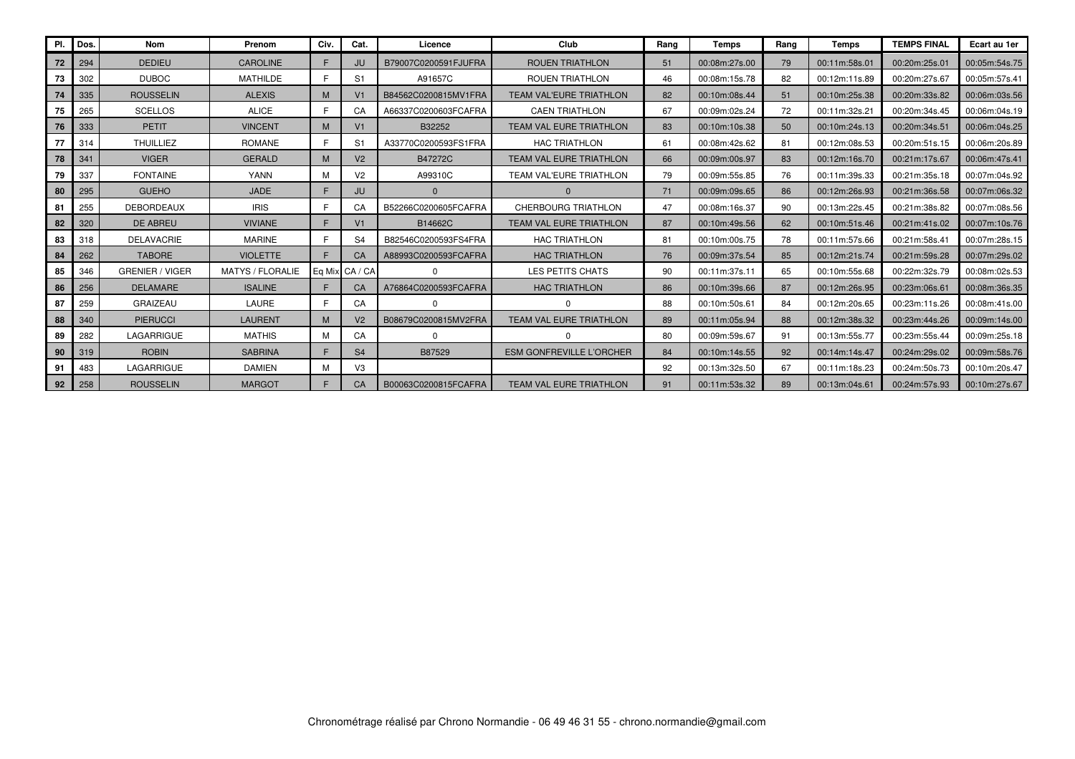| PI. | Dos. | Nom                    | Prenom           | Civ. | Cat.           | Licence              | Club                            | Rang | Temps         | Rang | Temps         | <b>TEMPS FINAL</b> | Ecart au 1er  |
|-----|------|------------------------|------------------|------|----------------|----------------------|---------------------------------|------|---------------|------|---------------|--------------------|---------------|
| 72  | 294  | <b>DEDIEU</b>          | <b>CAROLINE</b>  | F.   | JU.            | B79007C0200591FJUFRA | <b>ROUEN TRIATHLON</b>          | 51   | 00:08m:27s.00 | 79   | 00:11m:58s.01 | 00:20m:25s.01      | 00:05m:54s.75 |
| 73  | 302  | <b>DUBOC</b>           | <b>MATHILDE</b>  | F.   | S1             | A91657C              | <b>ROUEN TRIATHLON</b>          | 46   | 00:08m:15s.78 | 82   | 00:12m:11s.89 | 00:20m:27s.67      | 00:05m:57s.41 |
| 74  | 335  | <b>ROUSSELIN</b>       | <b>ALEXIS</b>    | M    | V1             | B84562C0200815MV1FRA | <b>TEAM VAL'EURE TRIATHLON</b>  | 82   | 00:10m:08s.44 | 51   | 00:10m:25s.38 | 00:20m:33s.82      | 00:06m:03s.56 |
| 75  | 265  | <b>SCELLOS</b>         | <b>ALICE</b>     | F.   | CA             | A66337C0200603FCAFRA | <b>CAEN TRIATHLON</b>           | 67   | 00:09m:02s.24 | 72   | 00:11m:32s.21 | 00:20m:34s.45      | 00:06m:04s.19 |
| 76  | 333  | <b>PETIT</b>           | <b>VINCENT</b>   | M    | V <sub>1</sub> | B32252               | <b>TEAM VAL EURE TRIATHLON</b>  | 83   | 00:10m:10s.38 | 50   | 00:10m:24s.13 | 00:20m:34s.51      | 00:06m:04s.25 |
| 77  | 314  | <b>THUILLIEZ</b>       | <b>ROMANE</b>    | F.   | S.             | A33770C0200593FS1FRA | <b>HAC TRIATHLON</b>            | 61   | 00:08m:42s.62 | 81   | 00:12m:08s.53 | 00:20m:51s.15      | 00:06m:20s.89 |
| 78  | 341  | <b>VIGER</b>           | <b>GERALD</b>    | M    | V <sub>2</sub> | B47272C              | TEAM VAL EURE TRIATHLON         | 66   | 00:09m:00s.97 | 83   | 00:12m:16s.70 | 00:21m:17s.67      | 00:06m:47s.41 |
|     | 337  | <b>FONTAINE</b>        | <b>YANN</b>      | м    | V <sub>2</sub> | A99310C              | TEAM VAL'EURE TRIATHLON         | 79   | 00:09m:55s.85 | 76   | 00:11m:39s.33 | 00:21m:35s.18      | 00:07m:04s.92 |
| 80  | 295  | <b>GUEHO</b>           | <b>JADE</b>      | F.   | JU             | $\Omega$             |                                 | 71   | 00:09m:09s.65 | 86   | 00:12m:26s.93 | 00:21m:36s.58      | 00:07m:06s.32 |
| 81  | 255  | <b>DEBORDEAUX</b>      | <b>IRIS</b>      | F.   | CA             | B52266C0200605FCAFRA | <b>CHERBOURG TRIATHLON</b>      | 47   | 00:08m:16s.37 | 90   | 00:13m:22s.45 | 00:21m:38s.82      | 00:07m:08s.56 |
| 82  | 320  | <b>DE ABREU</b>        | <b>VIVIANE</b>   | F    | V1             | B14662C              | <b>TEAM VAL EURE TRIATHLON</b>  | 87   | 00:10m:49s.56 | 62   | 00:10m:51s.46 | 00:21m:41s.02      | 00:07m:10s.76 |
| 83  | 318  | <b>DELAVACRIE</b>      | <b>MARINE</b>    | F.   | S <sub>4</sub> | B82546C0200593FS4FRA | <b>HAC TRIATHLON</b>            | 81   | 00:10m:00s.75 | 78   | 00:11m:57s.66 | 00:21m:58s.41      | 00:07m:28s.15 |
| 84  | 262  | <b>TABORE</b>          | <b>VIOLETTE</b>  | F.   | CA             | A88993C0200593FCAFRA | <b>HAC TRIATHLON</b>            | 76   | 00:09m:37s.54 | 85   | 00:12m:21s.74 | 00:21m:59s.28      | 00:07m:29s.02 |
| 85  | 346  | <b>GRENIER / VIGER</b> | MATYS / FLORALIE |      | Eq Mix CA / CA | $\Omega$             | LES PETITS CHATS                | 90   | 00:11m:37s.11 | 65   | 00:10m:55s.68 | 00:22m:32s.79      | 00:08m:02s.53 |
| 86  | 256  | <b>DELAMARE</b>        | <b>ISALINE</b>   | F.   | CA             | A76864C0200593FCAFRA | <b>HAC TRIATHLON</b>            | 86   | 00:10m:39s.66 | 87   | 00:12m:26s.95 | 00:23m:06s.61      | 00:08m:36s.35 |
| 87  | 259  | <b>GRAIZEAU</b>        | LAURE            | F.   | CA             | $\Omega$             |                                 | 88   | 00:10m:50s.61 | 84   | 00:12m:20s.65 | 00:23m:11s.26      | 00:08m:41s.00 |
| 88  | 340  | <b>PIERUCCI</b>        | <b>LAURENT</b>   | M    | V <sub>2</sub> | B08679C0200815MV2FRA | <b>TEAM VAL EURE TRIATHLON</b>  | 89   | 00:11m:05s.94 | 88   | 00:12m:38s.32 | 00:23m:44s.26      | 00:09m:14s.00 |
| 89  | 282  | LAGARRIGUE             | <b>MATHIS</b>    | М    | CA             | $\Omega$             |                                 | 80   | 00:09m:59s.67 | 91   | 00:13m:55s.77 | 00:23m:55s.44      | 00:09m:25s.18 |
| 90  | 319  | <b>ROBIN</b>           | <b>SABRINA</b>   | F    | S <sub>4</sub> | B87529               | <b>ESM GONFREVILLE L'ORCHER</b> | 84   | 00:10m:14s.55 | 92   | 00:14m:14s.47 | 00:24m:29s.02      | 00:09m:58s.76 |
| 91  | 483  | LAGARRIGUE             | <b>DAMIEN</b>    | м    | V3             |                      |                                 | 92   | 00:13m:32s.50 | 67   | 00:11m:18s.23 | 00:24m:50s.73      | 00:10m:20s.47 |
| 92  | 258  | <b>ROUSSELIN</b>       | <b>MARGOT</b>    | F.   | <b>CA</b>      | B00063C0200815FCAFRA | TEAM VAL EURE TRIATHLON         | 91   | 00:11m:53s.32 | 89   | 00:13m:04s.61 | 00:24m:57s.93      | 00:10m:27s.67 |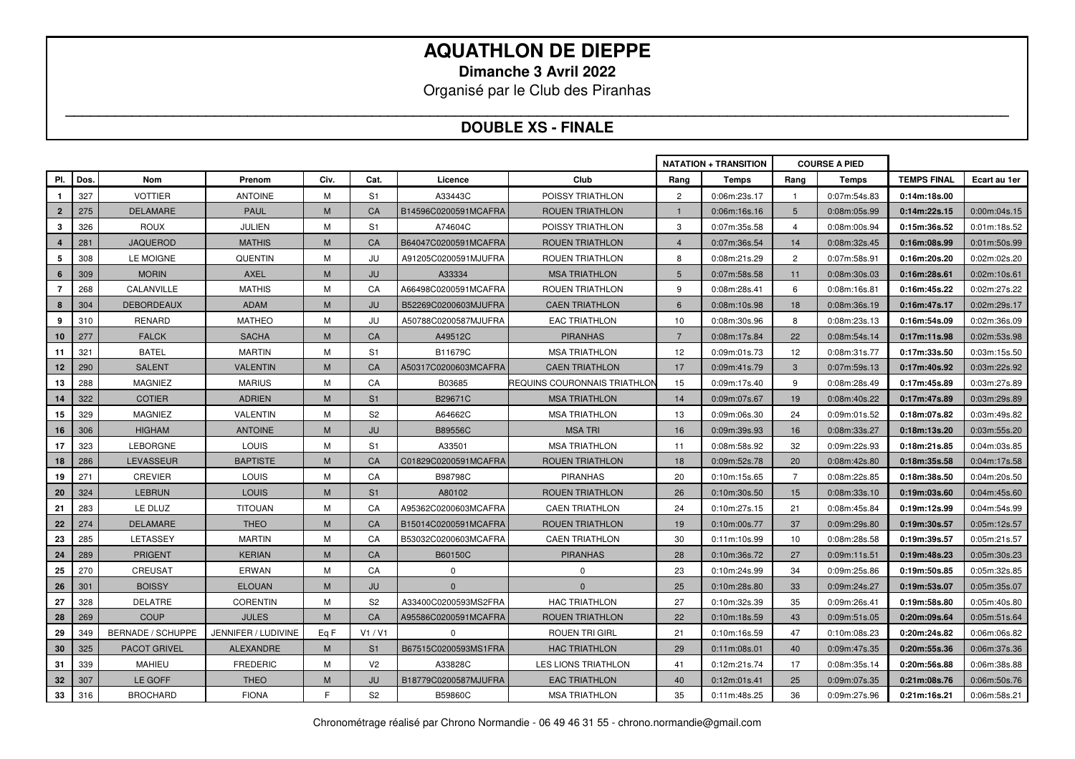**Dimanche 3 Avril 2022** 

Organisé par le Club des Piranhas

#### **\_\_\_\_\_\_\_\_\_\_\_\_\_\_\_\_\_\_\_\_\_\_\_\_\_\_\_\_\_\_\_\_\_\_\_\_\_\_\_\_\_\_\_\_\_\_\_\_\_\_\_\_\_\_\_\_\_\_\_\_\_\_\_\_\_\_\_\_\_\_\_\_\_\_\_\_\_\_\_\_\_\_\_\_\_\_\_\_\_\_\_\_\_\_\_\_\_\_\_\_\_\_\_\_\_\_\_\_\_\_\_\_\_\_ DOUBLE XS - FINALE**

|                  |      |                          |                     |      |                |                      |                              |                | <b>NATATION + TRANSITION</b> |                | <b>COURSE A PIED</b> |                    |              |
|------------------|------|--------------------------|---------------------|------|----------------|----------------------|------------------------------|----------------|------------------------------|----------------|----------------------|--------------------|--------------|
| PI.              | Dos. | Nom                      | Prenom              | Civ. | Cat.           | Licence              | Club                         | Rang           | <b>Temps</b>                 | Rang           | Temps                | <b>TEMPS FINAL</b> | Ecart au 1er |
| $\mathbf{1}$     | 327  | <b>VOTTIER</b>           | <b>ANTOINE</b>      | M    | S1             | A33443C              | POISSY TRIATHLON             | $\overline{2}$ | 0:06m:23s.17                 |                | 0:07m:54s.83         | 0:14m:18s.00       |              |
| $\mathbf{2}$     | 275  | <b>DELAMARE</b>          | <b>PAUL</b>         | M    | CA             | B14596C0200591MCAFRA | <b>ROUEN TRIATHLON</b>       |                | 0:06m:16s.16                 | 5 <sup>5</sup> | 0:08m:05s.99         | 0:14m:22s.15       | 0:00m:04s.15 |
| 3                | 326  | <b>ROUX</b>              | <b>JULIEN</b>       | M    | S <sub>1</sub> | A74604C              | POISSY TRIATHLON             | 3              | 0:07m:35s.58                 | $\overline{4}$ | 0:08m:00s.94         | 0:15m:36s.52       | 0:01m:18s.52 |
| $\boldsymbol{A}$ | 281  | <b>JAQUEROD</b>          | <b>MATHIS</b>       | M    | CA             | B64047C0200591MCAFRA | <b>ROUEN TRIATHLON</b>       | $\overline{4}$ | 0:07m:36s.54                 | 14             | 0:08m:32s.45         | 0:16m:08s.99       | 0:01m:50s.99 |
| 5                | 308  | LE MOIGNE                | <b>QUENTIN</b>      | M    | JU             | A91205C0200591MJUFRA | ROUEN TRIATHLON              | 8              | 0:08m:21s.29                 | $\overline{2}$ | 0:07m:58s.91         | 0:16m:20s.20       | 0:02m:02s.20 |
| 6                | 309  | <b>MORIN</b>             | <b>AXEL</b>         | M    | JU             | A33334               | <b>MSA TRIATHLON</b>         | 5              | 0:07m:58s.58                 | 11             | 0:08m:30s.03         | 0:16m:28s.61       | 0:02m:10s.61 |
| $\overline{7}$   | 268  | CALANVILLE               | <b>MATHIS</b>       | M    | CA             | A66498C0200591MCAFRA | ROUEN TRIATHLON              | 9              | 0:08m:28s.41                 | 6              | 0:08m:16s.81         | 0:16m:45s.22       | 0:02m:27s.22 |
| 8                | 304  | <b>DEBORDEAUX</b>        | ADAM                | M    | JU             | B52269C0200603MJUFRA | <b>CAEN TRIATHLON</b>        | 6              | 0:08m:10s.98                 | 18             | 0:08m:36s.19         | 0:16m:47s.17       | 0:02m:29s.17 |
| 9                | 310  | <b>RENARD</b>            | <b>MATHEO</b>       | M    | JU             | A50788C0200587MJUFRA | <b>EAC TRIATHLON</b>         | 10             | 0:08m:30s.96                 | 8              | 0:08m:23s.13         | 0:16m:54s.09       | 0:02m:36s.09 |
| 10               | 277  | <b>FALCK</b>             | <b>SACHA</b>        | M    | CA             | A49512C              | <b>PIRANHAS</b>              | $\overline{7}$ | 0:08m:17s.84                 | 22             | 0:08m:54s.14         | 0:17m:11s.98       | 0:02m:53s.98 |
| 11               | 321  | <b>BATEL</b>             | <b>MARTIN</b>       | M    | S1             | B11679C              | <b>MSA TRIATHLON</b>         | 12             | 0:09m:01s.73                 | 12             | 0:08m:31s.77         | 0:17m:33s.50       | 0:03m:15s.50 |
| 12               | 290  | <b>SALENT</b>            | <b>VALENTIN</b>     | M    | CA             | A50317C0200603MCAFRA | <b>CAEN TRIATHLON</b>        | 17             | 0:09m:41s.79                 | $\mathbf{3}$   | 0:07m:59s.13         | 0:17m:40s.92       | 0:03m:22s.92 |
| 13               | 288  | <b>MAGNIEZ</b>           | <b>MARIUS</b>       | M    | CA             | B03685               | REQUINS COURONNAIS TRIATHLON | 15             | 0:09m:17s.40                 | 9              | 0:08m:28s.49         | 0:17m:45s.89       | 0:03m:27s.89 |
| 14               | 322  | <b>COTIER</b>            | <b>ADRIEN</b>       | M    | S <sub>1</sub> | B29671C              | <b>MSA TRIATHLON</b>         | 14             | 0:09m:07s.67                 | 19             | 0:08m:40s.22         | 0:17m:47s.89       | 0:03m:29s.89 |
| 15               | 329  | <b>MAGNIEZ</b>           | <b>VALENTIN</b>     | M    | S <sub>2</sub> | A64662C              | <b>MSA TRIATHLON</b>         | 13             | 0:09m:06s.30                 | 24             | 0:09m:01s.52         | 0:18m:07s.82       | 0:03m:49s.82 |
| 16               | 306  | <b>HIGHAM</b>            | <b>ANTOINE</b>      | M    | JU             | B89556C              | <b>MSATRI</b>                | 16             | 0:09m:39s.93                 | 16             | 0:08m:33s.27         | 0:18m:13s.20       | 0:03m:55s.20 |
| 17               | 323  | <b>LEBORGNE</b>          | <b>LOUIS</b>        | M    | S <sub>1</sub> | A33501               | <b>MSA TRIATHLON</b>         | 11             | 0:08m:58s.92                 | 32             | 0:09m:22s.93         | 0:18m:21s.85       | 0:04m:03s.85 |
| 18               | 286  | <b>LEVASSEUR</b>         | <b>BAPTISTE</b>     | M    | <b>CA</b>      | C01829C0200591MCAFRA | <b>ROUEN TRIATHLON</b>       | 18             | 0:09m:52s.78                 | 20             | 0:08m:42s.80         | 0:18m:35s.58       | 0:04m:17s.58 |
| 19               | 271  | <b>CREVIER</b>           | <b>LOUIS</b>        | м    | CA             | B98798C              | <b>PIRANHAS</b>              | 20             | 0:10m:15s.65                 | 7              | 0:08m:22s.85         | 0:18m:38s.50       | 0:04m:20s.50 |
| 20               | 324  | <b>LEBRUN</b>            | <b>LOUIS</b>        | M    | S <sub>1</sub> | A80102               | <b>ROUEN TRIATHLON</b>       | 26             | 0:10m:30s.50                 | 15             | 0:08m:33s.10         | 0:19m:03s.60       | 0:04m:45s.60 |
| 21               | 283  | LE DLUZ                  | <b>TITOUAN</b>      | M    | CA             | A95362C0200603MCAFRA | <b>CAEN TRIATHLON</b>        | 24             | 0:10m:27s.15                 | 21             | 0:08m:45s.84         | 0:19m:12s.99       | 0:04m:54s.99 |
| 22               | 274  | <b>DELAMARE</b>          | <b>THEO</b>         | M    | CA             | B15014C0200591MCAFRA | <b>ROUEN TRIATHLON</b>       | 19             | 0:10m:00s.77                 | 37             | 0:09m:29s.80         | 0:19m:30s.57       | 0:05m:12s.57 |
| 23               | 285  | LETASSEY                 | <b>MARTIN</b>       | M    | CA             | B53032C0200603MCAFRA | <b>CAEN TRIATHLON</b>        | 30             | 0:11m:10s.99                 | 10             | 0:08m:28s.58         | 0:19m:39s.57       | 0:05m:21s.57 |
| 24               | 289  | <b>PRIGENT</b>           | <b>KERIAN</b>       | M    | CA             | B60150C              | <b>PIRANHAS</b>              | 28             | 0:10m:36s.72                 | 27             | 0:09m:11s.51         | 0:19m:48s.23       | 0:05m:30s.23 |
| 25               | 270  | <b>CREUSAT</b>           | ERWAN               | M    | CA             | $\Omega$             | $\Omega$                     | 23             | 0:10m:24s.99                 | 34             | 0:09m:25s.86         | 0:19m:50s.85       | 0:05m:32s.85 |
| 26               | 301  | <b>BOISSY</b>            | <b>ELOUAN</b>       | M    | JU             | $\mathbf{0}$         | $\mathbf{0}$                 | 25             | 0:10m:28s.80                 | 33             | 0:09m:24s.27         | 0:19m:53s.07       | 0:05m:35s.07 |
| 27               | 328  | <b>DELATRE</b>           | <b>CORENTIN</b>     | M    | S <sub>2</sub> | A33400C0200593MS2FRA | <b>HAC TRIATHLON</b>         | 27             | 0:10m:32s.39                 | 35             | 0:09m:26s.41         | 0:19m:58s.80       | 0:05m:40s.80 |
| 28               | 269  | <b>COUP</b>              | <b>JULES</b>        | M    | CA             | A95586C0200591MCAFRA | <b>ROUEN TRIATHLON</b>       | 22             | 0:10m:18s.59                 | 43             | 0:09m:51s.05         | 0:20m:09s.64       | 0:05m:51s.64 |
| 29               | 349  | <b>BERNADE / SCHUPPE</b> | JENNIFER / LUDIVINE | Eq F | V1/V1          | $\mathbf{0}$         | <b>ROUEN TRI GIRL</b>        | 21             | 0:10m:16s.59                 | 47             | 0:10m:08s.23         | 0:20m:24s.82       | 0:06m:06s.82 |
| 30               | 325  | <b>PACOT GRIVEL</b>      | <b>ALEXANDRE</b>    | M    | S <sub>1</sub> | B67515C0200593MS1FRA | <b>HAC TRIATHLON</b>         | 29             | 0:11m:08s.01                 | 40             | 0:09m:47s.35         | 0:20m:55s.36       | 0:06m:37s.36 |
| 31               | 339  | <b>MAHIEU</b>            | <b>FREDERIC</b>     | м    | V <sub>2</sub> | A33828C              | <b>LES LIONS TRIATHLON</b>   | 41             | 0:12m:21s.74                 | 17             | 0:08m:35s.14         | 0:20m:56s.88       | 0:06m:38s.88 |
| 32               | 307  | LE GOFF                  | <b>THEO</b>         | M    | JU             | B18779C0200587MJUFRA | <b>EAC TRIATHLON</b>         | 40             | 0:12m:01s.41                 | 25             | 0:09m:07s.35         | 0:21m:08s.76       | 0:06m:50s.76 |
| 33               | 316  | <b>BROCHARD</b>          | <b>FIONA</b>        | F    | S <sub>2</sub> | B59860C              | <b>MSA TRIATHLON</b>         | 35             | 0:11m:48s.25                 | 36             | 0:09m:27s.96         | 0:21m:16s.21       | 0:06m:58s.21 |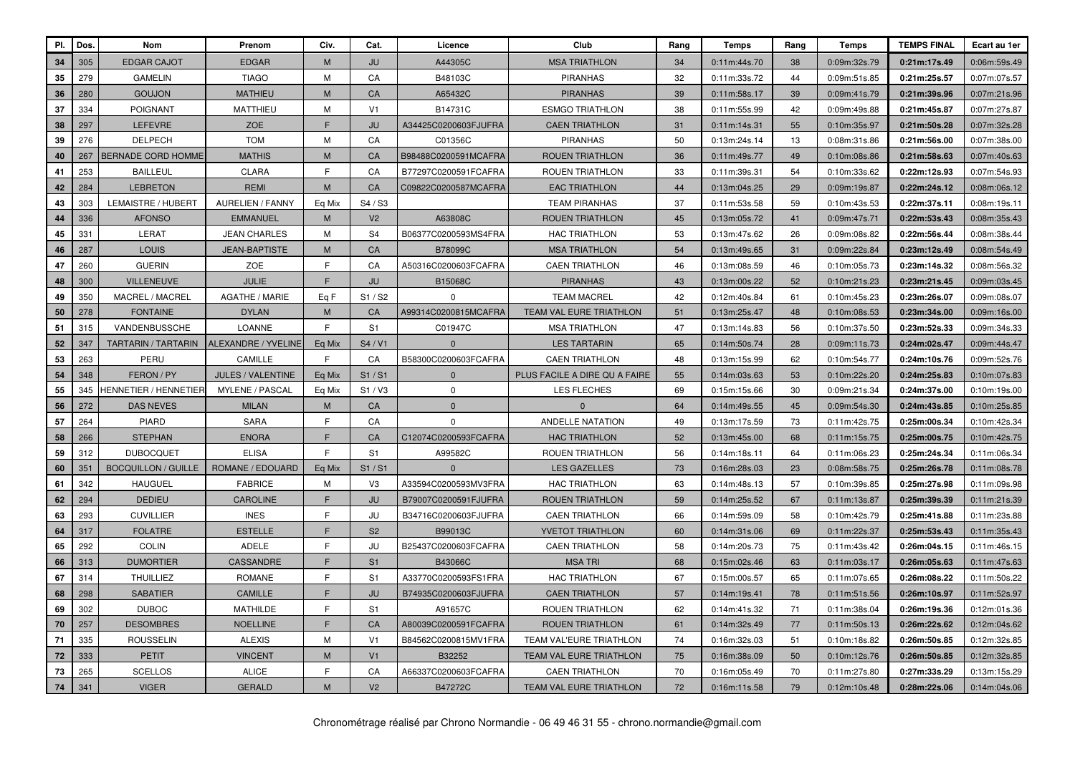| PI. | Dos. | Nom                        | Prenom                   | Civ.   | Cat.           | Licence              | Club                           | Rang | Temps        | Rang | <b>Temps</b> | <b>TEMPS FINAL</b> | Ecart au 1er |
|-----|------|----------------------------|--------------------------|--------|----------------|----------------------|--------------------------------|------|--------------|------|--------------|--------------------|--------------|
| 34  | 305  | <b>EDGAR CAJOT</b>         | <b>EDGAR</b>             | M      | JU             | A44305C              | <b>MSA TRIATHLON</b>           | 34   | 0:11m:44s.70 | 38   | 0:09m:32s.79 | 0:21m:17s.49       | 0:06m:59s.49 |
| 35  | 279  | <b>GAMELIN</b>             | <b>TIAGO</b>             | M      | CA             | B48103C              | <b>PIRANHAS</b>                | 32   | 0:11m:33s.72 | 44   | 0:09m:51s.85 | 0:21m:25s.57       | 0:07m:07s.57 |
| 36  | 280  | <b>GOUJON</b>              | <b>MATHIEU</b>           | M      | CA             | A65432C              | <b>PIRANHAS</b>                | 39   | 0:11m:58s.17 | 39   | 0:09m:41s.79 | 0:21m:39s.96       | 0:07m:21s.96 |
| 37  | 334  | <b>POIGNANT</b>            | <b>MATTHIEU</b>          | M      | V <sub>1</sub> | B14731C              | <b>ESMGO TRIATHLON</b>         | 38   | 0:11m:55s.99 | 42   | 0:09m:49s.88 | 0:21m:45s.87       | 0:07m:27s.87 |
| 38  | 297  | <b>LEFEVRE</b>             | ZOE                      | E      | JU             | A34425C0200603FJUFRA | <b>CAEN TRIATHLON</b>          | 31   | 0:11m:14s.31 | 55   | 0:10m:35s.97 | 0:21m:50s.28       | 0:07m:32s.28 |
| 39  | 276  | <b>DELPECH</b>             | <b>TOM</b>               | M      | CA             | C01356C              | <b>PIRANHAS</b>                | 50   | 0:13m:24s.14 | 13   | 0:08m:31s.86 | 0:21m:56s.00       | 0:07m:38s.00 |
| 40  | 267  | <b>BERNADE CORD HOMME</b>  | <b>MATHIS</b>            | M      | CA             | B98488C0200591MCAFRA | <b>ROUEN TRIATHLON</b>         | 36   | 0:11m:49s.77 | 49   | 0:10m:08s.86 | 0:21m:58s.63       | 0:07m:40s.63 |
| 41  | 253  | <b>BAILLEUL</b>            | <b>CLARA</b>             | E      | CA             | B77297C0200591FCAFRA | <b>ROUEN TRIATHLON</b>         | 33   | 0:11m:39s.31 | 54   | 0:10m:33s.62 | 0:22m:12s.93       | 0:07m:54s.93 |
| 42  | 284  | <b>LEBRETON</b>            | <b>REMI</b>              | M      | CA             | C09822C0200587MCAFRA | <b>EAC TRIATHLON</b>           | 44   | 0:13m:04s.25 | 29   | 0:09m:19s.87 | 0:22m:24s.12       | 0:08m:06s.12 |
| 43  | 303  | LEMAISTRE / HUBERT         | <b>AURELIEN / FANNY</b>  | Eq Mix | S4 / S3        |                      | <b>TEAM PIRANHAS</b>           | 37   | 0:11m:53s.58 | 59   | 0:10m:43s.53 | 0:22m:37s.11       | 0:08m:19s.11 |
| 44  | 336  | <b>AFONSO</b>              | <b>EMMANUEL</b>          | M      | V <sub>2</sub> | A63808C              | <b>ROUEN TRIATHLON</b>         | 45   | 0:13m:05s.72 | 41   | 0:09m:47s.71 | 0:22m:53s.43       | 0:08m:35s.43 |
| 45  | 331  | LERAT                      | <b>JEAN CHARLES</b>      | M      | S <sub>4</sub> | B06377C0200593MS4FRA | <b>HAC TRIATHLON</b>           | 53   | 0:13m:47s.62 | 26   | 0:09m:08s.82 | 0:22m:56s.44       | 0:08m:38s.44 |
| 46  | 287  | LOUIS                      | <b>JEAN-BAPTISTE</b>     | M      | CA             | B78099C              | <b>MSA TRIATHLON</b>           | 54   | 0:13m:49s.65 | 31   | 0:09m:22s.84 | 0:23m:12s.49       | 0:08m:54s.49 |
| 47  | 260  | <b>GUERIN</b>              | ZOE                      | F      | CA             | A50316C0200603FCAFRA | <b>CAEN TRIATHLON</b>          | 46   | 0:13m:08s.59 | 46   | 0:10m:05s.73 | 0:23m:14s.32       | 0:08m:56s.32 |
| 48  | 300  | <b>VILLENEUVE</b>          | <b>JULIE</b>             | F      | JU             | B15068C              | <b>PIRANHAS</b>                | 43   | 0:13m:00s.22 | 52   | 0:10m:21s.23 | 0:23m:21s.45       | 0:09m:03s.45 |
| 49  | 350  | MACREL / MACREL            | <b>AGATHE / MARIE</b>    | Eg F   | S1 / S2        | $\mathbf 0$          | <b>TEAM MACREL</b>             | 42   | 0:12m:40s.84 | 61   | 0:10m:45s.23 | 0:23m:26s.07       | 0:09m:08s.07 |
| 50  | 278  | <b>FONTAINE</b>            | <b>DYLAN</b>             | M      | CA             | A99314C0200815MCAFRA | <b>TEAM VAL EURE TRIATHLON</b> | 51   | 0:13m:25s.47 | 48   | 0:10m:08s.53 | 0:23m:34s.00       | 0:09m:16s.00 |
| 51  | 315  | VANDENBUSSCHE              | LOANNE                   | E      | S <sub>1</sub> | C01947C              | <b>MSA TRIATHLON</b>           | 47   | 0:13m:14s.83 | 56   | 0:10m:37s.50 | 0:23m:52s.33       | 0:09m:34s.33 |
| 52  | 347  | TARTARIN / TARTARIN        | ALEXANDRE / YVELINE      | Eq Mix | S4 / V1        | $\mathbf 0$          | <b>LES TARTARIN</b>            | 65   | 0:14m:50s.74 | 28   | 0:09m:11s.73 | 0:24m:02s.47       | 0:09m:44s.47 |
| 53  | 263  | PERU                       | CAMILLE                  | F      | CA             | B58300C0200603FCAFRA | <b>CAEN TRIATHLON</b>          | 48   | 0:13m:15s.99 | 62   | 0:10m:54s.77 | 0:24m:10s.76       | 0:09m:52s.76 |
| 54  | 348  | FERON / PY                 | <b>JULES / VALENTINE</b> | Eq Mix | S1/S1          | $\mathbf{0}$         | PLUS FACILE A DIRE QU A FAIRE  | 55   | 0:14m:03s.63 | 53   | 0:10m:22s.20 | 0:24m:25s.83       | 0:10m:07s.83 |
| 55  | 345  | HENNETIER / HENNETIEF      | <b>MYLENE / PASCAL</b>   | Eq Mix | S1/V3          | $\mathbf 0$          | <b>LES FLECHES</b>             | 69   | 0:15m:15s.66 | 30   | 0:09m:21s.34 | 0:24m:37s.00       | 0:10m:19s.00 |
| 56  | 272  | <b>DAS NEVES</b>           | <b>MILAN</b>             | M      | CA             | $\mathbf{0}$         | $\mathbf{0}$                   | 64   | 0:14m:49s.55 | 45   | 0:09m:54s.30 | 0:24m:43s.85       | 0:10m:25s.85 |
| 57  | 264  | <b>PIARD</b>               | <b>SARA</b>              | E      | CA             | $\mathbf 0$          | <b>ANDELLE NATATION</b>        | 49   | 0:13m:17s.59 | 73   | 0:11m:42s.75 | 0:25m:00s.34       | 0:10m:42s.34 |
| 58  | 266  | <b>STEPHAN</b>             | <b>ENORA</b>             | F      | <b>CA</b>      | C12074C0200593FCAFRA | <b>HAC TRIATHLON</b>           | 52   | 0:13m:45s.00 | 68   | 0:11m:15s.75 | 0:25m:00s.75       | 0:10m:42s.75 |
| 59  | 312  | <b>DUBOCQUET</b>           | <b>ELISA</b>             | F      | S <sub>1</sub> | A99582C              | <b>ROUEN TRIATHLON</b>         | 56   | 0:14m:18s.11 | 64   | 0:11m:06s.23 | 0:25m:24s.34       | 0:11m:06s.34 |
| 60  | 351  | <b>BOCQUILLON / GUILLE</b> | ROMANE / EDOUARD         | Eq Mix | S1/S1          | $\mathbf{0}$         | <b>LES GAZELLES</b>            | 73   | 0:16m:28s.03 | 23   | 0:08m:58s.75 | 0:25m:26s.78       | 0:11m:08s.78 |
| 61  | 342  | <b>HAUGUEL</b>             | <b>FABRICE</b>           | M      | V <sub>3</sub> | A33594C0200593MV3FRA | <b>HAC TRIATHLON</b>           | 63   | 0:14m:48s.13 | 57   | 0:10m:39s.85 | 0:25m:27s.98       | 0:11m:09s.98 |
| 62  | 294  | <b>DEDIEU</b>              | <b>CAROLINE</b>          | F      | JU             | B79007C0200591FJUFRA | <b>ROUEN TRIATHLON</b>         | 59   | 0:14m:25s.52 | 67   | 0:11m:13s.87 | 0:25m:39s.39       | 0:11m:21s.39 |
| 63  | 293  | <b>CUVILLIER</b>           | <b>INES</b>              | F      | JU             | B34716C0200603FJUFRA | <b>CAEN TRIATHLON</b>          | 66   | 0:14m:59s.09 | 58   | 0:10m:42s.79 | 0:25m:41s.88       | 0:11m:23s.88 |
| 64  | 317  | <b>FOLATRE</b>             | <b>ESTELLE</b>           | F      | S <sub>2</sub> | B99013C              | YVETOT TRIATHLON               | 60   | 0:14m:31s.06 | 69   | 0:11m:22s.37 | 0:25m:53s.43       | 0:11m:35s.43 |
| 65  | 292  | <b>COLIN</b>               | <b>ADELE</b>             | F      | JU             | B25437C0200603FCAFRA | <b>CAEN TRIATHLON</b>          | 58   | 0:14m:20s.73 | 75   | 0:11m:43s.42 | 0:26m:04s.15       | 0:11m:46s.15 |
| 66  | 313  | <b>DUMORTIER</b>           | CASSANDRE                | F      | S <sub>1</sub> | B43066C              | <b>MSA TRI</b>                 | 68   | 0:15m:02s.46 | 63   | 0:11m:03s.17 | 0:26m:05s.63       | 0:11m:47s.63 |
| 67  | 314  | <b>THUILLIEZ</b>           | <b>ROMANE</b>            | F      | S <sub>1</sub> | A33770C0200593FS1FRA | <b>HAC TRIATHLON</b>           | 67   | 0:15m:00s.57 | 65   | 0:11m:07s.65 | 0:26m:08s.22       | 0:11m:50s.22 |
| 68  | 298  | <b>SABATIER</b>            | <b>CAMILLE</b>           | E      | JU             | B74935C0200603FJUFRA | <b>CAEN TRIATHLON</b>          | 57   | 0:14m:19s.41 | 78   | 0:11m:51s.56 | 0:26m:10s.97       | 0:11m:52s.97 |
| 69  | 302  | <b>DUBOC</b>               | MATHILDE                 | F      | S1             | A91657C              | ROUEN TRIATHLON                | 62   | 0:14m:41s.32 | 71   | 0:11m:38s.04 | 0:26m:19s.36       | 0:12m:01s.36 |
| 70  | 257  | <b>DESOMBRES</b>           | <b>NOELLINE</b>          | E      | CA             | A80039C0200591FCAFRA | <b>ROUEN TRIATHLON</b>         | 61   | 0:14m:32s.49 | 77   | 0:11m:50s.13 | 0:26m:22s.62       | 0:12m:04s.62 |
| 71  | 335  | <b>ROUSSELIN</b>           | <b>ALEXIS</b>            | M      | V <sub>1</sub> | B84562C0200815MV1FRA | <b>TEAM VAL'EURE TRIATHLON</b> | 74   | 0:16m:32s.03 | 51   | 0:10m:18s.82 | 0:26m:50s.85       | 0:12m:32s.85 |
| 72  | 333  | <b>PETIT</b>               | <b>VINCENT</b>           | M      | V <sub>1</sub> | B32252               | <b>TEAM VAL EURE TRIATHLON</b> | 75   | 0:16m:38s.09 | 50   | 0:10m:12s.76 | 0:26m:50s.85       | 0:12m:32s.85 |
| 73  | 265  | <b>SCELLOS</b>             | <b>ALICE</b>             | F      | CA             | A66337C0200603FCAFRA | <b>CAEN TRIATHLON</b>          | 70   | 0:16m:05s.49 | 70   | 0:11m:27s.80 | 0:27m:33s.29       | 0:13m:15s.29 |
| 74  | 341  | <b>VIGER</b>               | <b>GERALD</b>            | M      | V <sub>2</sub> | B47272C              | TEAM VAL EURE TRIATHLON        | 72   | 0:16m:11s.58 | 79   | 0:12m:10s.48 | 0:28m:22s.06       | 0:14m:04s.06 |